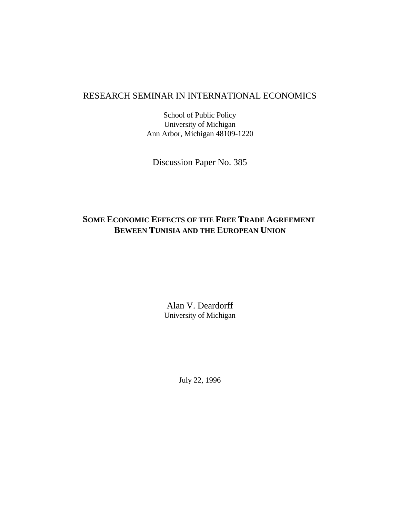# RESEARCH SEMINAR IN INTERNATIONAL ECONOMICS

School of Public Policy University of Michigan Ann Arbor, Michigan 48109-1220

Discussion Paper No. 385

# **SOME ECONOMIC EFFECTS OF THE FREE TRADE AGREEMENT BEWEEN TUNISIA AND THE EUROPEAN UNION**

Alan V. Deardorff University of Michigan

July 22, 1996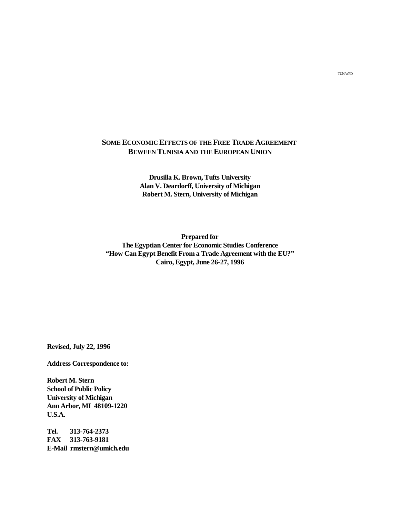# **SOME ECONOMIC EFFECTS OF THE FREE TRADE AGREEMENT BEWEEN TUNISIA AND THE EUROPEAN UNION**

**Drusilla K. Brown, Tufts University Alan V. Deardorff, University of Michigan Robert M. Stern, University of Michigan**

**Prepared for The Egyptian Center for Economic Studies Conference "How Can Egypt Benefit From a Trade Agreement with the EU?" Cairo, Egypt, June 26-27, 1996**

**Revised, July 22, 1996**

**Address Correspondence to:**

**Robert M. Stern School of Public Policy University of Michigan Ann Arbor, MI 48109-1220 U.S.A.**

**Tel. 313-764-2373 FAX 313-763-9181 E-Mail rmstern@umich.edu** TUN.WPD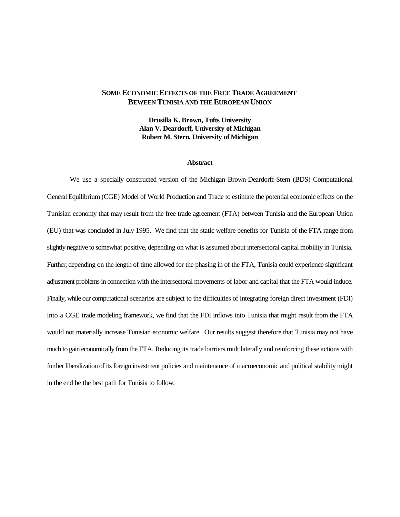# **SOME ECONOMIC EFFECTS OF THE FREE TRADE AGREEMENT BEWEEN TUNISIA AND THE EUROPEAN UNION**

**Drusilla K. Brown, Tufts University Alan V. Deardorff, University of Michigan Robert M. Stern, University of Michigan**

### **Abstract**

We use a specially constructed version of the Michigan Brown-Deardorff-Stern (BDS) Computational General Equilibrium (CGE) Model of World Production and Trade to estimate the potential economic effects on the Tunisian economy that may result from the free trade agreement (FTA) between Tunisia and the European Union (EU) that was concluded in July 1995. We find that the static welfare benefits for Tunisia of the FTA range from slightly negative to somewhat positive, depending on what is assumed about intersectoral capital mobility in Tunisia. Further, depending on the length of time allowed for the phasing in of the FTA, Tunisia could experience significant adjustment problems in connection with the intersectoral movements of labor and capital that the FTA would induce. Finally, while our computational scenarios are subject to the difficulties of integrating foreign direct investment (FDI) into a CGE trade modeling framework, we find that the FDI inflows into Tunisia that might result from the FTA would not materially increase Tunisian economic welfare. Our results suggest therefore that Tunisia may not have much to gain economically from the FTA. Reducing its trade barriers multilaterally and reinforcing these actions with further liberalization of its foreign investment policies and maintenance of macroeconomic and political stability might in the end be the best path for Tunisia to follow.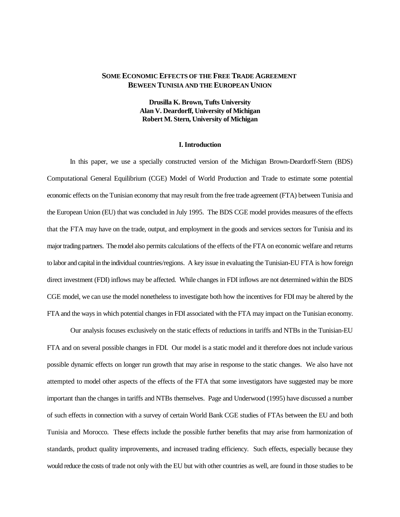# **SOME ECONOMIC EFFECTS OF THE FREE TRADE AGREEMENT BEWEEN TUNISIA AND THE EUROPEAN UNION**

**Drusilla K. Brown, Tufts University Alan V. Deardorff, University of Michigan Robert M. Stern, University of Michigan**

### **I. Introduction**

In this paper, we use a specially constructed version of the Michigan Brown-Deardorff-Stern (BDS) Computational General Equilibrium (CGE) Model of World Production and Trade to estimate some potential economic effects on the Tunisian economy that may result from the free trade agreement (FTA) between Tunisia and the European Union (EU) that was concluded in July 1995. The BDS CGE model provides measures of the effects that the FTA may have on the trade, output, and employment in the goods and services sectors for Tunisia and its major trading partners. The model also permits calculations of the effects of the FTA on economic welfare and returns to labor and capital in the individual countries/regions. A key issue in evaluating the Tunisian-EU FTA is how foreign direct investment (FDI) inflows may be affected. While changes in FDI inflows are not determined within the BDS CGE model, we can use the model nonetheless to investigate both how the incentives for FDI may be altered by the FTA and the ways in which potential changes in FDI associated with the FTA may impact on the Tunisian economy.

Our analysis focuses exclusively on the static effects of reductions in tariffs and NTBs in the Tunisian-EU FTA and on several possible changes in FDI. Our model is a static model and it therefore does not include various possible dynamic effects on longer run growth that may arise in response to the static changes. We also have not attempted to model other aspects of the effects of the FTA that some investigators have suggested may be more important than the changes in tariffs and NTBs themselves. Page and Underwood (1995) have discussed a number of such effects in connection with a survey of certain World Bank CGE studies of FTAs between the EU and both Tunisia and Morocco. These effects include the possible further benefits that may arise from harmonization of standards, product quality improvements, and increased trading efficiency. Such effects, especially because they would reduce the costs of trade not only with the EU but with other countries as well, are found in those studies to be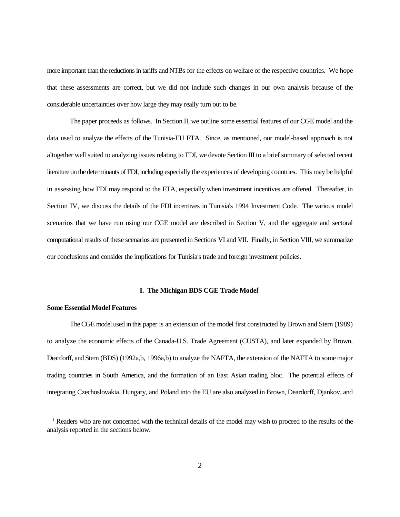more important than the reductions in tariffs and NTBs for the effects on welfare of the respective countries. We hope that these assessments are correct, but we did not include such changes in our own analysis because of the considerable uncertainties over how large they may really turn out to be.

The paper proceeds as follows. In Section II, we outline some essential features of our CGE model and the data used to analyze the effects of the Tunisia-EU FTA. Since, as mentioned, our model-based approach is not altogether well suited to analyzing issues relating to FDI, we devote Section III to a brief summary of selected recent literature on the determinants of FDI, including especially the experiences of developing countries. This may be helpful in assessing how FDI may respond to the FTA, especially when investment incentives are offered. Thereafter, in Section IV, we discuss the details of the FDI incentives in Tunisia's 1994 Investment Code. The various model scenarios that we have run using our CGE model are described in Section V, and the aggregate and sectoral computational results of these scenarios are presented in Sections VI and VII. Finally, in Section VIII, we summarize our conclusions and consider the implications for Tunisia's trade and foreign investment policies.

# **I.** The Michigan BDS CGE Trade Model<sup>1</sup>

### **Some Essential Model Features**

The CGE model used in this paper is an extension of the model first constructed by Brown and Stern (1989) to analyze the economic effects of the Canada-U.S. Trade Agreement (CUSTA), and later expanded by Brown, Deardorff, and Stern (BDS) (1992a,b, 1996a,b) to analyze the NAFTA, the extension of the NAFTA to some major trading countries in South America, and the formation of an East Asian trading bloc. The potential effects of integrating Czechoslovakia, Hungary, and Poland into the EU are also analyzed in Brown, Deardorff, Djankov, and

 $\frac{1}{2}$  Readers who are not concerned with the technical details of the model may wish to proceed to the results of the analysis reported in the sections below.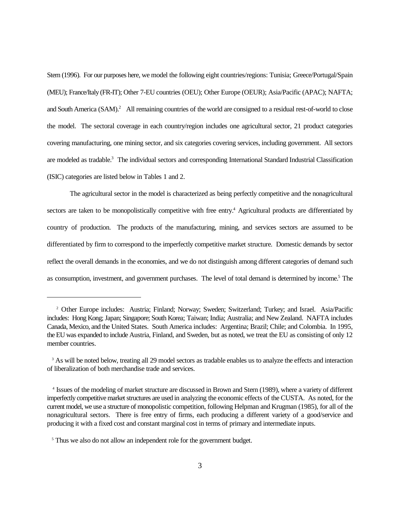Stern (1996). For our purposes here, we model the following eight countries/regions: Tunisia; Greece/Portugal/Spain (MEU); France/Italy (FR-IT); Other 7-EU countries (OEU); Other Europe (OEUR); Asia/Pacific (APAC); NAFTA; and South America (SAM).<sup>2</sup> All remaining countries of the world are consigned to a residual rest-of-world to close the model. The sectoral coverage in each country/region includes one agricultural sector, 21 product categories covering manufacturing, one mining sector, and six categories covering services, including government. All sectors are modeled as tradable.<sup>3</sup> The individual sectors and corresponding International Standard Industrial Classification (ISIC) categories are listed below in Tables 1 and 2.

The agricultural sector in the model is characterized as being perfectly competitive and the nonagricultural sectors are taken to be monopolistically competitive with free entry.<sup>4</sup> Agricultural products are differentiated by country of production. The products of the manufacturing, mining, and services sectors are assumed to be differentiated by firm to correspond to the imperfectly competitive market structure. Domestic demands by sector reflect the overall demands in the economies, and we do not distinguish among different categories of demand such as consumption, investment, and government purchases. The level of total demand is determined by income.<sup>5</sup> The

<sup>&</sup>lt;sup>2</sup> Other Europe includes: Austria; Finland; Norway; Sweden; Switzerland; Turkey; and Israel. Asia/Pacific includes: Hong Kong; Japan; Singapore; South Korea; Taiwan; India; Australia; and New Zealand. NAFTA includes Canada, Mexico, and the United States. South America includes: Argentina; Brazil; Chile; and Colombia. In 1995, the EU was expanded to include Austria, Finland, and Sweden, but as noted, we treat the EU as consisting of only 12 member countries.

<sup>&</sup>lt;sup>3</sup> As will be noted below, treating all 29 model sectors as tradable enables us to analyze the effects and interaction of liberalization of both merchandise trade and services.

<sup>&</sup>lt;sup>4</sup> Issues of the modeling of market structure are discussed in Brown and Stern (1989), where a variety of different imperfectly competitive market structures are used in analyzing the economic effects of the CUSTA. As noted, for the current model, we use a structure of monopolistic competition, following Helpman and Krugman (1985), for all of the nonagricultural sectors. There is free entry of firms, each producing a different variety of a good/service and producing it with a fixed cost and constant marginal cost in terms of primary and intermediate inputs.

<sup>&</sup>lt;sup>5</sup> Thus we also do not allow an independent role for the government budget.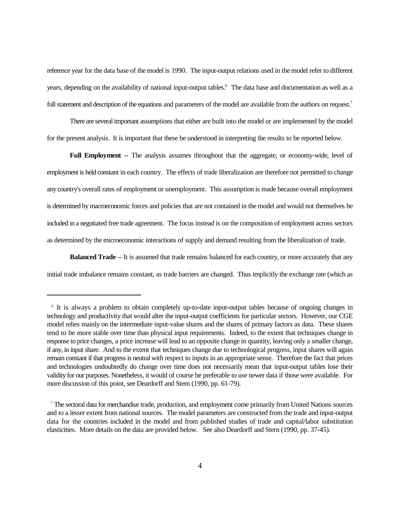reference year for the data base of the model is 1990. The input-output relations used in the model refer to different years, depending on the availability of national input-output tables.<sup>6</sup> The data base and documentation as well as a full statement and description of the equations and parameters of the model are available from the authors on request.<sup>7</sup>

There are several important assumptions that either are built into the model or are implemented by the model for the present analysis. It is important that these be understood in interpreting the results to be reported below.

**Full Employment** -- The analysis assumes throughout that the aggregate, or economy-wide, level of employment is held constant in each country. The effects of trade liberalization are therefore not permitted to change any country's overall rates of employment or unemployment. This assumption is made because overall employment is determined by macroeconomic forces and policies that are not contained in the model and would not themselves be included in a negotiated free trade agreement. The focus instead is on the composition of employment across sectors as determined by the microeconomic interactions of supply and demand resulting from the liberalization of trade.

**Balanced Trade** -- It is assumed that trade remains balanced for each country, or more accurately that any initial trade imbalance remains constant, as trade barriers are changed. Thus implicitly the exchange rate (which as

<sup>&</sup>lt;sup>6</sup> It is always a problem to obtain completely up-to-date input-output tables because of ongoing changes in technology and productivity that would alter the input-output coefficients for particular sectors. However, our CGE model relies mainly on the intermediate input-value shares and the shares of primary factors as data. These shares tend to be more stable over time than physical input requirements. Indeed, to the extent that techniques change in response to price changes, a price increase will lead to an opposite change in quantity, leaving only a smaller change, if any, in input share. And to the extent that techniques change due to technological progress, input shares will again remain constant if that progress is neutral with respect to inputs in an appropriate sense. Therefore the fact that prices and technologies undoubtedly do change over time does not necessarily mean that input-output tables lose their validity for our purposes. Nonetheless, it would of course be preferable to use newer data if those were available. For more discussion of this point, see Deardorff and Stern (1990, pp. 61-79).

The sectoral data for merchandise trade, production, and employment come primarily from United Nations sources 7 and to a lesser extent from national sources. The model parameters are constructed from the trade and input-output data for the countries included in the model and from published studies of trade and capital/labor substitution elasticities. More details on the data are provided below. See also Deardorff and Stern (1990, pp. 37-45).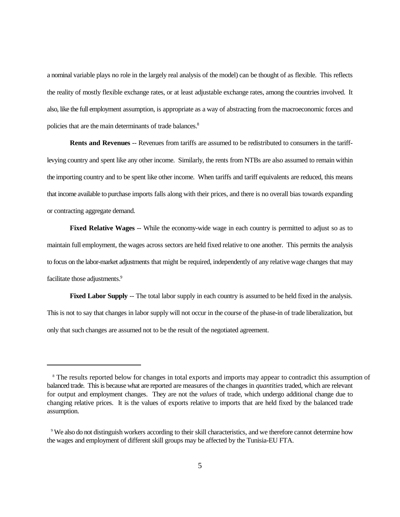a nominal variable plays no role in the largely real analysis of the model) can be thought of as flexible. This reflects the reality of mostly flexible exchange rates, or at least adjustable exchange rates, among the countries involved. It also, like the full employment assumption, is appropriate as a way of abstracting from the macroeconomic forces and policies that are the main determinants of trade balances.<sup>8</sup>

**Rents and Revenues** -- Revenues from tariffs are assumed to be redistributed to consumers in the tarifflevying country and spent like any other income. Similarly, the rents from NTBs are also assumed to remain within the importing country and to be spent like other income. When tariffs and tariff equivalents are reduced, this means that income available to purchase imports falls along with their prices, and there is no overall bias towards expanding or contracting aggregate demand.

**Fixed Relative Wages** -- While the economy-wide wage in each country is permitted to adjust so as to maintain full employment, the wages across sectors are held fixed relative to one another. This permits the analysis to focus on the labor-market adjustments that might be required, independently of any relative wage changes that may facilitate those adjustments.<sup>9</sup>

**Fixed Labor Supply** -- The total labor supply in each country is assumed to be held fixed in the analysis. This is not to say that changes in labor supply will not occur in the course of the phase-in of trade liberalization, but only that such changes are assumed not to be the result of the negotiated agreement.

<sup>&</sup>lt;sup>8</sup> The results reported below for changes in total exports and imports may appear to contradict this assumption of balanced trade. This is because what are reported are measures of the changes in *quantities* traded, which are relevant for output and employment changes. They are not the *values* of trade, which undergo additional change due to changing relative prices. It is the values of exports relative to imports that are held fixed by the balanced trade assumption.

 <sup>9</sup> We also do not distinguish workers according to their skill characteristics, and we therefore cannot determine how the wages and employment of different skill groups may be affected by the Tunisia-EU FTA.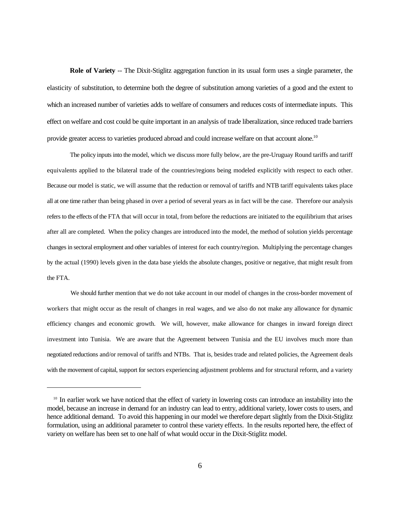**Role of Variety** -- The Dixit-Stiglitz aggregation function in its usual form uses a single parameter, the elasticity of substitution, to determine both the degree of substitution among varieties of a good and the extent to which an increased number of varieties adds to welfare of consumers and reduces costs of intermediate inputs. This effect on welfare and cost could be quite important in an analysis of trade liberalization, since reduced trade barriers provide greater access to varieties produced abroad and could increase welfare on that account alone.10

The policy inputs into the model, which we discuss more fully below, are the pre-Uruguay Round tariffs and tariff equivalents applied to the bilateral trade of the countries/regions being modeled explicitly with respect to each other. Because our model is static, we will assume that the reduction or removal of tariffs and NTB tariff equivalents takes place all at one time rather than being phased in over a period of several years as in fact will be the case. Therefore our analysis refers to the effects of the FTA that will occur in total, from before the reductions are initiated to the equilibrium that arises after all are completed. When the policy changes are introduced into the model, the method of solution yields percentage changes in sectoral employment and other variables of interest for each country/region. Multiplying the percentage changes by the actual (1990) levels given in the data base yields the absolute changes, positive or negative, that might result from the FTA.

We should further mention that we do not take account in our model of changes in the cross-border movement of workers that might occur as the result of changes in real wages, and we also do not make any allowance for dynamic efficiency changes and economic growth. We will, however, make allowance for changes in inward foreign direct investment into Tunisia. We are aware that the Agreement between Tunisia and the EU involves much more than negotiated reductions and/or removal of tariffs and NTBs. That is, besides trade and related policies, the Agreement deals with the movement of capital, support for sectors experiencing adjustment problems and for structural reform, and a variety

 $10$  In earlier work we have noticed that the effect of variety in lowering costs can introduce an instability into the model, because an increase in demand for an industry can lead to entry, additional variety, lower costs to users, and hence additional demand. To avoid this happening in our model we therefore depart slightly from the Dixit-Stiglitz formulation, using an additional parameter to control these variety effects. In the results reported here, the effect of variety on welfare has been set to one half of what would occur in the Dixit-Stiglitz model.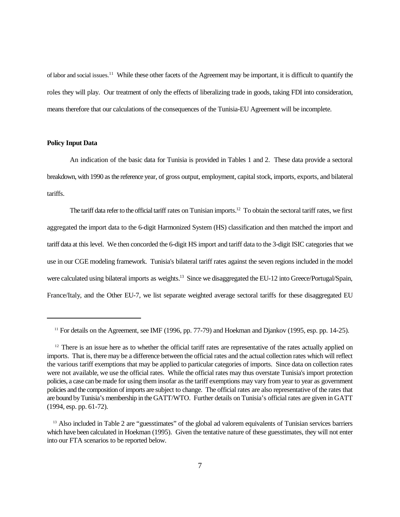of labor and social issues.<sup>11</sup> While these other facets of the Agreement may be important, it is difficult to quantify the roles they will play. Our treatment of only the effects of liberalizing trade in goods, taking FDI into consideration, means therefore that our calculations of the consequences of the Tunisia-EU Agreement will be incomplete.

### **Policy Input Data**

An indication of the basic data for Tunisia is provided in Tables 1 and 2. These data provide a sectoral breakdown, with 1990 as the reference year, of gross output, employment, capital stock, imports, exports, and bilateral tariffs.

The tariff data refer to the official tariff rates on Tunisian imports.<sup>12</sup> To obtain the sectoral tariff rates, we first aggregated the import data to the 6-digit Harmonized System (HS) classification and then matched the import and tariff data at this level. We then concorded the 6-digit HS import and tariff data to the 3-digit ISIC categories that we use in our CGE modeling framework. Tunisia's bilateral tariff rates against the seven regions included in the model were calculated using bilateral imports as weights.<sup>13</sup> Since we disaggregated the EU-12 into Greece/Portugal/Spain, France/Italy, and the Other EU-7, we list separate weighted average sectoral tariffs for these disaggregated EU

 $<sup>11</sup>$  For details on the Agreement, see IMF (1996, pp. 77-79) and Hoekman and Djankov (1995, esp. pp. 14-25).</sup>

 $12$  There is an issue here as to whether the official tariff rates are representative of the rates actually applied on imports. That is, there may be a difference between the official rates and the actual collection rates which will reflect the various tariff exemptions that may be applied to particular categories of imports. Since data on collection rates were not available, we use the official rates. While the official rates may thus overstate Tunisia's import protection policies, a case can be made for using them insofar as the tariff exemptions may vary from year to year as government policies and the composition of imports are subject to change. The official rates are also representative of the rates that are bound by Tunisia's membership in the GATT/WTO. Further details on Tunisia's official rates are given in GATT (1994, esp. pp. 61-72).

<sup>&</sup>lt;sup>13</sup> Also included in Table 2 are "guesstimates" of the global ad valorem equivalents of Tunisian services barriers which have been calculated in Hoekman (1995). Given the tentative nature of these guesstimates, they will not enter into our FTA scenarios to be reported below.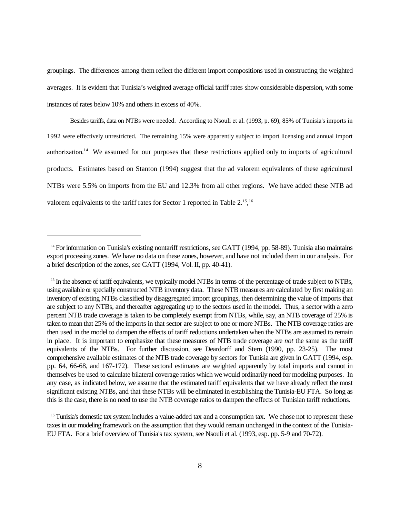groupings. The differences among them reflect the different import compositions used in constructing the weighted averages. It is evident that Tunisia's weighted average official tariff rates show considerable dispersion, with some instances of rates below 10% and others in excess of 40%.

Besides tariffs, data on NTBs were needed. According to Nsouli et al. (1993, p. 69), 85% of Tunisia's imports in 1992 were effectively unrestricted. The remaining 15% were apparently subject to import licensing and annual import authorization.<sup>14</sup> We assumed for our purposes that these restrictions applied only to imports of agricultural products. Estimates based on Stanton (1994) suggest that the ad valorem equivalents of these agricultural NTBs were 5.5% on imports from the EU and 12.3% from all other regions. We have added these NTB ad valorem equivalents to the tariff rates for Sector 1 reported in Table  $2^{15}$ , 16

<sup>&</sup>lt;sup>14</sup> For information on Tunisia's existing nontariff restrictions, see GATT (1994, pp. 58-89). Tunisia also maintains export processing zones. We have no data on these zones, however, and have not included them in our analysis. For a brief description of the zones, see GATT (1994, Vol. II, pp. 40-41).

<sup>&</sup>lt;sup>15</sup> In the absence of tariff equivalents, we typically model NTBs in terms of the percentage of trade subject to NTBs, using available or specially constructed NTB inventory data. These NTB measures are calculated by first making an inventory of existing NTBs classified by disaggregated import groupings, then determining the value of imports that are subject to any NTBs, and thereafter aggregating up to the sectors used in the model. Thus, a sector with a zero percent NTB trade coverage is taken to be completely exempt from NTBs, while, say, an NTB coverage of 25% is taken to mean that 25% of the imports in that sector are subject to one or more NTBs. The NTB coverage ratios are then used in the model to dampen the effects of tariff reductions undertaken when the NTBs are assumed to remain in place. It is important to emphasize that these measures of NTB trade coverage are *not* the same as the tariff equivalents of the NTBs. For further discussion, see Deardorff and Stern (1990, pp. 23-25). The most comprehensive available estimates of the NTB trade coverage by sectors for Tunisia are given in GATT (1994, esp. pp. 64, 66-68, and 167-172). These sectoral estimates are weighted apparently by total imports and cannot in themselves be used to calculate bilateral coverage ratios which we would ordinarily need for modeling purposes. In any case, as indicated below, we assume that the estimated tariff equivalents that we have already reflect the most significant existing NTBs, and that these NTBs will be eliminated in establishing the Tunisia-EU FTA. So long as this is the case, there is no need to use the NTB coverage ratios to dampen the effects of Tunisian tariff reductions.

<sup>&</sup>lt;sup>16</sup> Tunisia's domestic tax system includes a value-added tax and a consumption tax. We chose not to represent these taxes in our modeling framework on the assumption that they would remain unchanged in the context of the Tunisia-EU FTA. For a brief overview of Tunisia's tax system, see Nsouli et al. (1993, esp. pp. 5-9 and 70-72).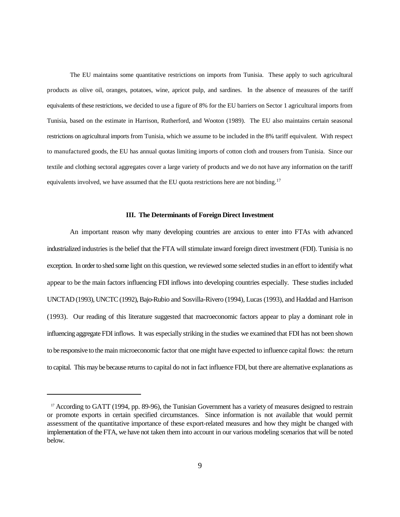The EU maintains some quantitative restrictions on imports from Tunisia. These apply to such agricultural products as olive oil, oranges, potatoes, wine, apricot pulp, and sardines. In the absence of measures of the tariff equivalents of these restrictions, we decided to use a figure of 8% for the EU barriers on Sector 1 agricultural imports from Tunisia, based on the estimate in Harrison, Rutherford, and Wooton (1989). The EU also maintains certain seasonal restrictions on agricultural imports from Tunisia, which we assume to be included in the 8% tariff equivalent. With respect to manufactured goods, the EU has annual quotas limiting imports of cotton cloth and trousers from Tunisia. Since our textile and clothing sectoral aggregates cover a large variety of products and we do not have any information on the tariff equivalents involved, we have assumed that the EU quota restrictions here are not binding.<sup>17</sup>

### **III. The Determinants of Foreign Direct Investment**

An important reason why many developing countries are anxious to enter into FTAs with advanced industrialized industries is the belief that the FTA will stimulate inward foreign direct investment (FDI). Tunisia is no exception. In order to shed some light on this question, we reviewed some selected studies in an effort to identify what appear to be the main factors influencing FDI inflows into developing countries especially. These studies included UNCTAD (1993), UNCTC (1992), Bajo-Rubio and Sosvilla-Rivero (1994), Lucas (1993), and Haddad and Harrison (1993). Our reading of this literature suggested that macroeconomic factors appear to play a dominant role in influencing aggregate FDI inflows. It was especially striking in the studies we examined that FDI has not been shown to be responsive to the main microeconomic factor that one might have expected to influence capital flows: the return to capital. This may be because returns to capital do not in fact influence FDI, but there are alternative explanations as

<sup>&</sup>lt;sup>17</sup> According to GATT (1994, pp. 89-96), the Tunisian Government has a variety of measures designed to restrain or promote exports in certain specified circumstances. Since information is not available that would permit assessment of the quantitative importance of these export-related measures and how they might be changed with implementation of the FTA, we have not taken them into account in our various modeling scenarios that will be noted below.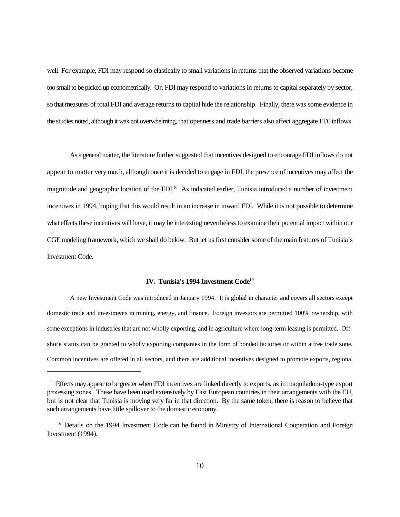well. For example, FDI may respond so elastically to small variations in returns that the observed variations become too small to be picked up econometrically. Or, FDI may respond to variations in returns to capital separately by sector, so that measures of total FDI and average returns to capital hide the relationship. Finally, there was some evidence in the studies noted, although it was not overwhelming, that openness and trade barriers also affect aggregate FDI inflows.

As a general matter, the literature further suggested that incentives designed to encourage FDI inflows do not appear to matter very much, although once it is decided to engage in FDI, the presence of incentives may affect the magnitude and geographic location of the FDI.<sup>18</sup> As indicated earlier, Tunisia introduced a number of investment incentives in 1994, hoping that this would result in an increase in inward FDI. While it is not possible to determine what effects these incentives will have, it may be interesting nevertheless to examine their potential impact within our CGE modeling framework, which we shall do below. But let us first consider some of the main features of Tunisia's Investment Code.

### **IV. Tunisia's 1994 Investment Code**<sup>19</sup>

A new Investment Code was introduced in January 1994. It is global in character and covers all sectors except domestic trade and investments in mining, energy, and finance. Foreign investors are permitted 100% ownership, with some exceptions in industries that are not wholly exporting, and in agriculture where long-term leasing is permitted. Offshore status can be granted to wholly exporting companies in the form of bonded factories or within a free trade zone. Common incentives are offered in all sectors, and there are additional incentives designed to promote exports, regional

<sup>&</sup>lt;sup>18</sup> Effects may appear to be greater when FDI incentives are linked directly to exports, as in maquiladora-type export processing zones. These have been used extensively by East European countries in their arrangements with the EU, but is not clear that Tunisia is moving very far in that direction. By the same token, there is reason to believe that such arrangements have little spillover to the domestic economy.

 $19$  Details on the 1994 Investment Code can be found in Ministry of International Cooperation and Foreign Investment (1994).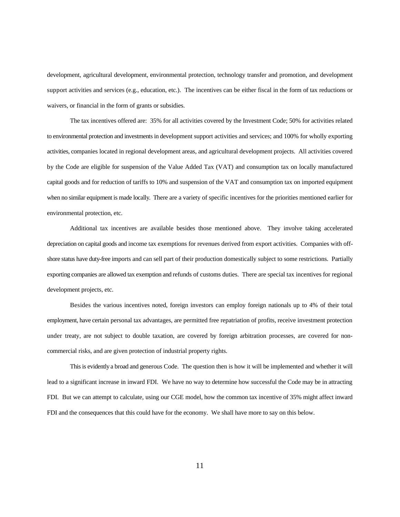development, agricultural development, environmental protection, technology transfer and promotion, and development support activities and services (e.g., education, etc.). The incentives can be either fiscal in the form of tax reductions or waivers, or financial in the form of grants or subsidies.

The tax incentives offered are: 35% for all activities covered by the Investment Code; 50% for activities related to environmental protection and investments in development support activities and services; and 100% for wholly exporting activities, companies located in regional development areas, and agricultural development projects. All activities covered by the Code are eligible for suspension of the Value Added Tax (VAT) and consumption tax on locally manufactured capital goods and for reduction of tariffs to 10% and suspension of the VAT and consumption tax on imported equipment when no similar equipment is made locally. There are a variety of specific incentives for the priorities mentioned earlier for environmental protection, etc.

Additional tax incentives are available besides those mentioned above. They involve taking accelerated depreciation on capital goods and income tax exemptions for revenues derived from export activities. Companies with offshore status have duty-free imports and can sell part of their production domestically subject to some restrictions. Partially exporting companies are allowed tax exemption and refunds of customs duties. There are special tax incentives for regional development projects, etc.

Besides the various incentives noted, foreign investors can employ foreign nationals up to 4% of their total employment, have certain personal tax advantages, are permitted free repatriation of profits, receive investment protection under treaty, are not subject to double taxation, are covered by foreign arbitration processes, are covered for noncommercial risks, and are given protection of industrial property rights.

This is evidently a broad and generous Code. The question then is how it will be implemented and whether it will lead to a significant increase in inward FDI. We have no way to determine how successful the Code may be in attracting FDI. But we can attempt to calculate, using our CGE model, how the common tax incentive of 35% might affect inward FDI and the consequences that this could have for the economy. We shall have more to say on this below.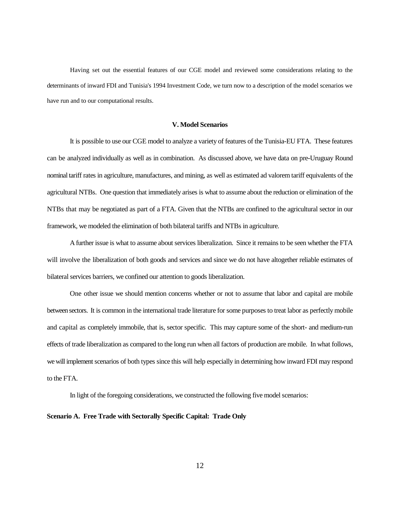Having set out the essential features of our CGE model and reviewed some considerations relating to the determinants of inward FDI and Tunisia's 1994 Investment Code, we turn now to a description of the model scenarios we have run and to our computational results.

### **V. Model Scenarios**

It is possible to use our CGE model to analyze a variety of features of the Tunisia-EU FTA. These features can be analyzed individually as well as in combination. As discussed above, we have data on pre-Uruguay Round nominal tariff rates in agriculture, manufactures, and mining, as well as estimated ad valorem tariff equivalents of the agricultural NTBs. One question that immediately arises is what to assume about the reduction or elimination of the NTBs that may be negotiated as part of a FTA. Given that the NTBs are confined to the agricultural sector in our framework, we modeled the elimination of both bilateral tariffs and NTBs in agriculture.

A further issue is what to assume about services liberalization. Since it remains to be seen whether the FTA will involve the liberalization of both goods and services and since we do not have altogether reliable estimates of bilateral services barriers, we confined our attention to goods liberalization.

One other issue we should mention concerns whether or not to assume that labor and capital are mobile between sectors. It is common in the international trade literature for some purposes to treat labor as perfectly mobile and capital as completely immobile, that is, sector specific. This may capture some of the short- and medium-run effects of trade liberalization as compared to the long run when all factors of production are mobile. In what follows, we will implement scenarios of both types since this will help especially in determining how inward FDI may respond to the FTA.

In light of the foregoing considerations, we constructed the following five model scenarios:

# **Scenario A. Free Trade with Sectorally Specific Capital: Trade Only**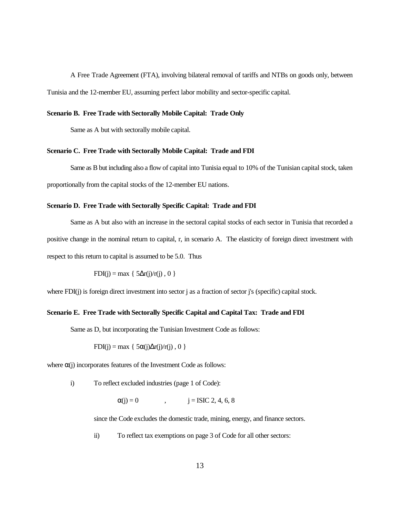A Free Trade Agreement (FTA), involving bilateral removal of tariffs and NTBs on goods only, between Tunisia and the 12-member EU, assuming perfect labor mobility and sector-specific capital.

### **Scenario B. Free Trade with Sectorally Mobile Capital: Trade Only**

Same as A but with sectorally mobile capital.

## **Scenario C. Free Trade with Sectorally Mobile Capital: Trade and FDI**

Same as B but including also a flow of capital into Tunisia equal to 10% of the Tunisian capital stock, taken proportionally from the capital stocks of the 12-member EU nations.

### **Scenario D. Free Trade with Sectorally Specific Capital: Trade and FDI**

Same as A but also with an increase in the sectoral capital stocks of each sector in Tunisia that recorded a positive change in the nominal return to capital, r, in scenario A. The elasticity of foreign direct investment with respect to this return to capital is assumed to be 5.0. Thus

$$
FDI(j) = \max \{ 5\Delta r(j)/r(j), 0 \}
$$

where FDI(j) is foreign direct investment into sector j as a fraction of sector j's (specific) capital stock.

# **Scenario E. Free Trade with Sectorally Specific Capital and Capital Tax: Trade and FDI**

Same as D, but incorporating the Tunisian Investment Code as follows:

$$
FDI(j) = max \{ 5\alpha(j)\Delta r(j)/r(j), 0 \}
$$

where  $\alpha(i)$  incorporates features of the Investment Code as follows:

i) To reflect excluded industries (page 1 of Code):

 $\alpha(j) = 0$ ,  $j = ISIC 2, 4, 6, 8$ 

since the Code excludes the domestic trade, mining, energy, and finance sectors.

ii) To reflect tax exemptions on page 3 of Code for all other sectors: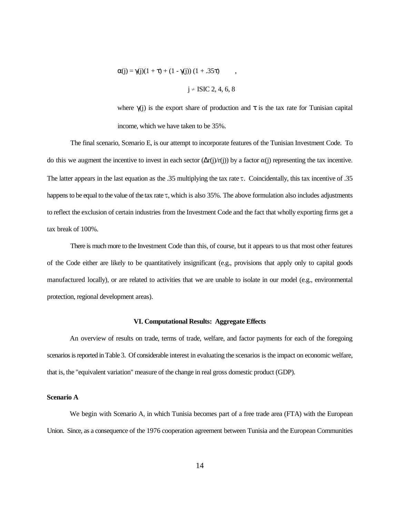$$
\alpha(j) = \gamma(j)(1 + \tau) + (1 - \gamma(j))(1 + .35\tau) ,
$$
  

$$
j \neq \text{ISIC } 2, 4, 6, 8
$$

where  $\gamma$ (j) is the export share of production and  $\tau$  is the tax rate for Tunisian capital income, which we have taken to be 35%.

The final scenario, Scenario E, is our attempt to incorporate features of the Tunisian Investment Code. To do this we augment the incentive to invest in each sector  $(\Delta r(j)/r(j))$  by a factor  $\alpha(j)$  representing the tax incentive. The latter appears in the last equation as the .35 multiplying the tax rate  $\tau$ . Coincidentally, this tax incentive of .35 happens to be equal to the value of the tax rate  $\tau$ , which is also 35%. The above formulation also includes adjustments to reflect the exclusion of certain industries from the Investment Code and the fact that wholly exporting firms get a tax break of 100%.

There is much more to the Investment Code than this, of course, but it appears to us that most other features of the Code either are likely to be quantitatively insignificant (e.g., provisions that apply only to capital goods manufactured locally), or are related to activities that we are unable to isolate in our model (e.g., environmental protection, regional development areas).

### **VI. Computational Results: Aggregate Effects**

An overview of results on trade, terms of trade, welfare, and factor payments for each of the foregoing scenarios is reported in Table 3. Of considerable interest in evaluating the scenarios is the impact on economic welfare, that is, the "equivalent variation" measure of the change in real gross domestic product (GDP).

### **Scenario A**

We begin with Scenario A, in which Tunisia becomes part of a free trade area (FTA) with the European Union. Since, as a consequence of the 1976 cooperation agreement between Tunisia and the European Communities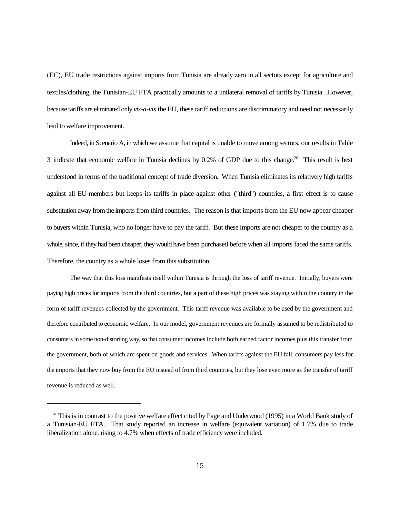(EC), EU trade restrictions against imports from Tunisia are already zero in all sectors except for agriculture and textiles/clothing, the Tunisian-EU FTA practically amounts to a unilateral removal of tariffs by Tunisia. However, because tariffs are eliminated only *vis-a-vis* the EU, these tariff reductions are discriminatory and need not necessarily lead to welfare improvement.

Indeed, in Scenario A, in which we assume that capital is unable to move among sectors, our results in Table 3 indicate that economic welfare in Tunisia declines by  $0.2\%$  of GDP due to this change.<sup>20</sup> This result is best understood in terms of the traditional concept of trade diversion. When Tunisia eliminates its relatively high tariffs against all EU-members but keeps its tariffs in place against other ("third") countries, a first effect is to cause substitution away from the imports from third countries. The reason is that imports from the EU now appear cheaper to buyers within Tunisia, who no longer have to pay the tariff. But these imports are not cheaper to the country as a whole, since, if they had been cheaper, they would have been purchased before when all imports faced the same tariffs. Therefore, the country as a whole loses from this substitution.

The way that this loss manifests itself within Tunisia is through the loss of tariff revenue. Initially, buyers were paying high prices for imports from the third countries, but a part of these high prices was staying within the country in the form of tariff revenues collected by the government. This tariff revenue was available to be used by the government and therefore contributed to economic welfare. In our model, government revenues are formally assumed to be redistributed to consumers in some non-distorting way, so that consumer incomes include both earned factor incomes plus this transfer from the government, both of which are spent on goods and services. When tariffs against the EU fall, consumers pay less for the imports that they now buy from the EU instead of from third countries, but they lose even more as the transfer of tariff revenue is reduced as well.

 $20$  This is in contrast to the positive welfare effect cited by Page and Underwood (1995) in a World Bank study of a Tunisian-EU FTA. That study reported an increase in welfare (equivalent variation) of 1.7% due to trade liberalization alone, rising to 4.7% when effects of trade efficiency were included.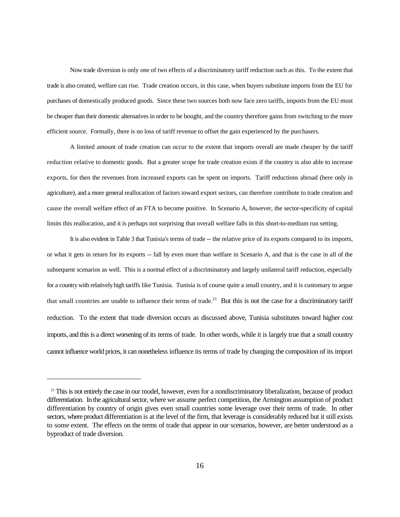Now trade diversion is only one of two effects of a discriminatory tariff reduction such as this. To the extent that trade is also created, welfare can rise. Trade creation occurs, in this case, when buyers substitute imports from the EU for purchases of domestically produced goods. Since these two sources both now face zero tariffs, imports from the EU must be cheaper than their domestic alternatives in order to be bought, and the country therefore gains from switching to the more efficient source. Formally, there is no loss of tariff revenue to offset the gain experienced by the purchasers.

A limited amount of trade creation can occur to the extent that imports overall are made cheaper by the tariff reduction relative to domestic goods. But a greater scope for trade creation exists if the country is also able to increase exports, for then the revenues from increased exports can be spent on imports. Tariff reductions abroad (here only in agriculture), and a more general reallocation of factors toward export sectors, can therefore contribute to trade creation and cause the overall welfare effect of an FTA to become positive. In Scenario A, however, the sector-specificity of capital limits this reallocation, and it is perhaps not surprising that overall welfare falls in this short-to-medium run setting.

It is also evident in Table 3 that Tunisia's terms of trade -- the relative price of its exports compared to its imports, or what it gets in return for its exports -- fall by even more than welfare in Scenario A, and that is the case in all of the subsequent scenarios as well. This is a normal effect of a discriminatory and largely unilateral tariff reduction, especially for a country with relatively high tariffs like Tunisia. Tunisia is of course quite a small country, and it is customary to argue that small countries are unable to influence their terms of trade.<sup>21</sup> But this is not the case for a discriminatory tariff reduction. To the extent that trade diversion occurs as discussed above, Tunisia substitutes toward higher cost imports, and this is a direct worsening of its terms of trade. In other words, while it is largely true that a small country cannot influence world prices, it can nonetheless influence its terms of trade by changing the composition of its import

 $2<sup>1</sup>$  This is not entirely the case in our model, however, even for a nondiscriminatory liberalization, because of product differentiation. In the agricultural sector, where we assume perfect competition, the Armington assumption of product differentiation by country of origin gives even small countries some leverage over their terms of trade. In other sectors, where product differentiation is at the level of the firm, that leverage is considerably reduced but it still exists to some extent. The effects on the terms of trade that appear in our scenarios, however, are better understood as a byproduct of trade diversion.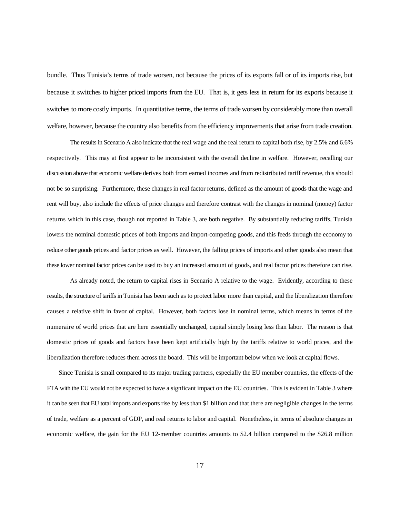bundle. Thus Tunisia's terms of trade worsen, not because the prices of its exports fall or of its imports rise, but because it switches to higher priced imports from the EU. That is, it gets less in return for its exports because it switches to more costly imports. In quantitative terms, the terms of trade worsen by considerably more than overall welfare, however, because the country also benefits from the efficiency improvements that arise from trade creation.

The results in Scenario A also indicate that the real wage and the real return to capital both rise, by 2.5% and 6.6% respectively. This may at first appear to be inconsistent with the overall decline in welfare. However, recalling our discussion above that economic welfare derives both from earned incomes and from redistributed tariff revenue, this should not be so surprising. Furthermore, these changes in real factor returns, defined as the amount of goods that the wage and rent will buy, also include the effects of price changes and therefore contrast with the changes in nominal (money) factor returns which in this case, though not reported in Table 3, are both negative. By substantially reducing tariffs, Tunisia lowers the nominal domestic prices of both imports and import-competing goods, and this feeds through the economy to reduce other goods prices and factor prices as well. However, the falling prices of imports and other goods also mean that these lower nominal factor prices can be used to buy an increased amount of goods, and real factor prices therefore can rise.

As already noted, the return to capital rises in Scenario A relative to the wage. Evidently, according to these results, the structure of tariffs in Tunisia has been such as to protect labor more than capital, and the liberalization therefore causes a relative shift in favor of capital. However, both factors lose in nominal terms, which means in terms of the numeraire of world prices that are here essentially unchanged, capital simply losing less than labor. The reason is that domestic prices of goods and factors have been kept artificially high by the tariffs relative to world prices, and the liberalization therefore reduces them across the board. This will be important below when we look at capital flows.

Since Tunisia is small compared to its major trading partners, especially the EU member countries, the effects of the FTA with the EU would not be expected to have a signficant impact on the EU countries. This is evident in Table 3 where it can be seen that EU total imports and exports rise by less than \$1 billion and that there are negligible changes in the terms of trade, welfare as a percent of GDP, and real returns to labor and capital. Nonetheless, in terms of absolute changes in economic welfare, the gain for the EU 12-member countries amounts to \$2.4 billion compared to the \$26.8 million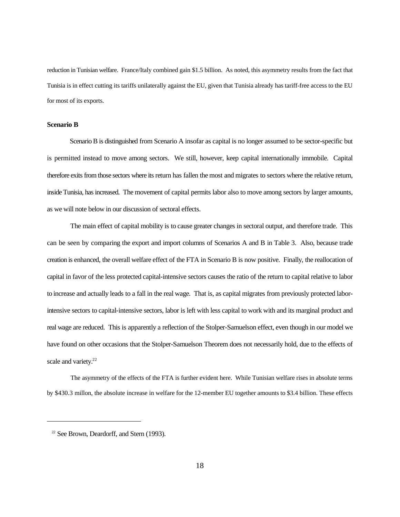reduction in Tunisian welfare. France/Italy combined gain \$1.5 billion. As noted, this asymmetry results from the fact that Tunisia is in effect cutting its tariffs unilaterally against the EU, given that Tunisia already has tariff-free access to the EU for most of its exports.

### **Scenario B**

Scenario B is distinguished from Scenario A insofar as capital is no longer assumed to be sector-specific but is permitted instead to move among sectors. We still, however, keep capital internationally immobile. Capital therefore exits from those sectors where its return has fallen the most and migrates to sectors where the relative return, inside Tunisia, has increased. The movement of capital permits labor also to move among sectors by larger amounts, as we will note below in our discussion of sectoral effects.

The main effect of capital mobility is to cause greater changes in sectoral output, and therefore trade. This can be seen by comparing the export and import columns of Scenarios A and B in Table 3. Also, because trade creation is enhanced, the overall welfare effect of the FTA in Scenario B is now positive. Finally, the reallocation of capital in favor of the less protected capital-intensive sectors causes the ratio of the return to capital relative to labor to increase and actually leads to a fall in the real wage. That is, as capital migrates from previously protected laborintensive sectors to capital-intensive sectors, labor is left with less capital to work with and its marginal product and real wage are reduced. This is apparently a reflection of the Stolper-Samuelson effect, even though in our model we have found on other occasions that the Stolper-Samuelson Theorem does not necessarily hold, due to the effects of scale and variety.<sup>22</sup>

The asymmetry of the effects of the FTA is further evident here. While Tunisian welfare rises in absolute terms by \$430.3 millon, the absolute increase in welfare for the 12-member EU together amounts to \$3.4 billion. These effects

 $22$  See Brown, Deardorff, and Stern (1993).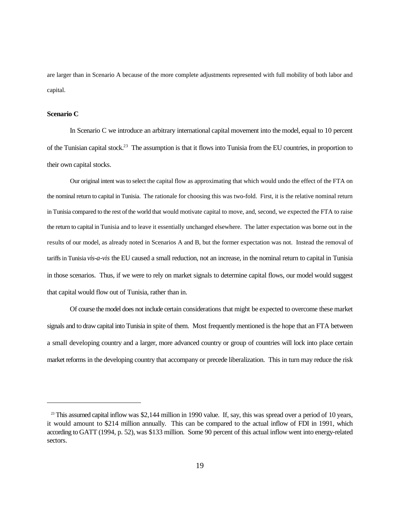are larger than in Scenario A because of the more complete adjustments represented with full mobility of both labor and capital.

### **Scenario C**

In Scenario C we introduce an arbitrary international capital movement into the model, equal to 10 percent of the Tunisian capital stock.<sup>23</sup> The assumption is that it flows into Tunisia from the EU countries, in proportion to their own capital stocks.

Our original intent was to select the capital flow as approximating that which would undo the effect of the FTA on the nominal return to capital in Tunisia. The rationale for choosing this was two-fold. First, it is the relative nominal return in Tunisia compared to the rest of the world that would motivate capital to move, and, second, we expected the FTA to raise the return to capital in Tunisia and to leave it essentially unchanged elsewhere. The latter expectation was borne out in the results of our model, as already noted in Scenarios A and B, but the former expectation was not. Instead the removal of tariffs in Tunisia *vis-a-vis* the EU caused a small reduction, not an increase, in the nominal return to capital in Tunisia in those scenarios. Thus, if we were to rely on market signals to determine capital flows, our model would suggest that capital would flow out of Tunisia, rather than in.

Of course the model does not include certain considerations that might be expected to overcome these market signals and to draw capital into Tunisia in spite of them. Most frequently mentioned is the hope that an FTA between a small developing country and a larger, more advanced country or group of countries will lock into place certain market reforms in the developing country that accompany or precede liberalization. This in turn may reduce the risk

<sup>&</sup>lt;sup>23</sup> This assumed capital inflow was \$2,144 million in 1990 value. If, say, this was spread over a period of 10 years, it would amount to \$214 million annually. This can be compared to the actual inflow of FDI in 1991, which according to GATT (1994, p. 52), was \$133 million. Some 90 percent of this actual inflow went into energy-related sectors.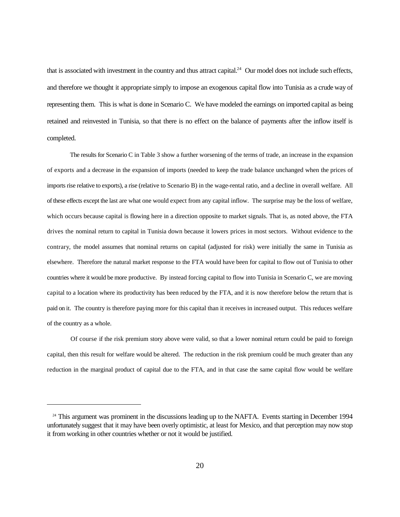that is associated with investment in the country and thus attract capital.<sup>24</sup> Our model does not include such effects, and therefore we thought it appropriate simply to impose an exogenous capital flow into Tunisia as a crude way of representing them. This is what is done in Scenario C. We have modeled the earnings on imported capital as being retained and reinvested in Tunisia, so that there is no effect on the balance of payments after the inflow itself is completed.

The results for Scenario C in Table 3 show a further worsening of the terms of trade, an increase in the expansion of exports and a decrease in the expansion of imports (needed to keep the trade balance unchanged when the prices of imports rise relative to exports), a rise (relative to Scenario B) in the wage-rental ratio, and a decline in overall welfare. All of these effects except the last are what one would expect from any capital inflow. The surprise may be the loss of welfare, which occurs because capital is flowing here in a direction opposite to market signals. That is, as noted above, the FTA drives the nominal return to capital in Tunisia down because it lowers prices in most sectors. Without evidence to the contrary, the model assumes that nominal returns on capital (adjusted for risk) were initially the same in Tunisia as elsewhere. Therefore the natural market response to the FTA would have been for capital to flow out of Tunisia to other countries where it would be more productive. By instead forcing capital to flow into Tunisia in Scenario C, we are moving capital to a location where its productivity has been reduced by the FTA, and it is now therefore below the return that is paid on it. The country is therefore paying more for this capital than it receives in increased output. This reduces welfare of the country as a whole.

Of course if the risk premium story above were valid, so that a lower nominal return could be paid to foreign capital, then this result for welfare would be altered. The reduction in the risk premium could be much greater than any reduction in the marginal product of capital due to the FTA, and in that case the same capital flow would be welfare

<sup>&</sup>lt;sup>24</sup> This argument was prominent in the discussions leading up to the NAFTA. Events starting in December 1994 unfortunately suggest that it may have been overly optimistic, at least for Mexico, and that perception may now stop it from working in other countries whether or not it would be justified.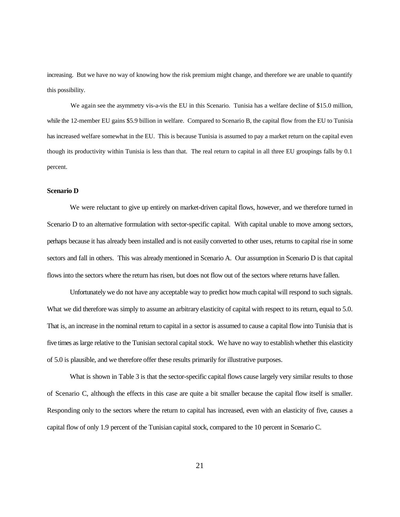increasing. But we have no way of knowing how the risk premium might change, and therefore we are unable to quantify this possibility.

We again see the asymmetry vis-a-vis the EU in this Scenario. Tunisia has a welfare decline of \$15.0 million, while the 12-member EU gains \$5.9 billion in welfare. Compared to Scenario B, the capital flow from the EU to Tunisia has increased welfare somewhat in the EU. This is because Tunisia is assumed to pay a market return on the capital even though its productivity within Tunisia is less than that. The real return to capital in all three EU groupings falls by 0.1 percent.

### **Scenario D**

We were reluctant to give up entirely on market-driven capital flows, however, and we therefore turned in Scenario D to an alternative formulation with sector-specific capital. With capital unable to move among sectors, perhaps because it has already been installed and is not easily converted to other uses, returns to capital rise in some sectors and fall in others. This was already mentioned in Scenario A. Our assumption in Scenario D is that capital flows into the sectors where the return has risen, but does not flow out of the sectors where returns have fallen.

Unfortunately we do not have any acceptable way to predict how much capital will respond to such signals. What we did therefore was simply to assume an arbitrary elasticity of capital with respect to its return, equal to 5.0. That is, an increase in the nominal return to capital in a sector is assumed to cause a capital flow into Tunisia that is five times as large relative to the Tunisian sectoral capital stock. We have no way to establish whether this elasticity of 5.0 is plausible, and we therefore offer these results primarily for illustrative purposes.

What is shown in Table 3 is that the sector-specific capital flows cause largely very similar results to those of Scenario C, although the effects in this case are quite a bit smaller because the capital flow itself is smaller. Responding only to the sectors where the return to capital has increased, even with an elasticity of five, causes a capital flow of only 1.9 percent of the Tunisian capital stock, compared to the 10 percent in Scenario C.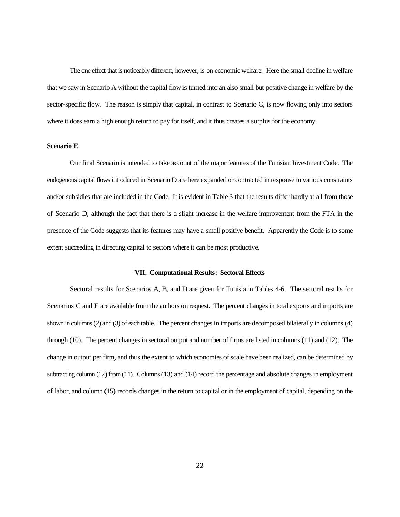The one effect that is noticeably different, however, is on economic welfare. Here the small decline in welfare that we saw in Scenario A without the capital flow is turned into an also small but positive change in welfare by the sector-specific flow. The reason is simply that capital, in contrast to Scenario C, is now flowing only into sectors where it does earn a high enough return to pay for itself, and it thus creates a surplus for the economy.

### **Scenario E**

Our final Scenario is intended to take account of the major features of the Tunisian Investment Code. The endogenous capital flows introduced in Scenario D are here expanded or contracted in response to various constraints and/or subsidies that are included in the Code. It is evident in Table 3 that the results differ hardly at all from those of Scenario D, although the fact that there is a slight increase in the welfare improvement from the FTA in the presence of the Code suggests that its features may have a small positive benefit. Apparently the Code is to some extent succeeding in directing capital to sectors where it can be most productive.

### **VII. Computational Results: Sectoral Effects**

Sectoral results for Scenarios A, B, and D are given for Tunisia in Tables 4-6. The sectoral results for Scenarios C and E are available from the authors on request. The percent changes in total exports and imports are shown in columns (2) and (3) of each table. The percent changes in imports are decomposed bilaterally in columns (4) through (10). The percent changes in sectoral output and number of firms are listed in columns (11) and (12). The change in output per firm, and thus the extent to which economies of scale have been realized, can be determined by subtracting column (12) from (11). Columns (13) and (14) record the percentage and absolute changes in employment of labor, and column (15) records changes in the return to capital or in the employment of capital, depending on the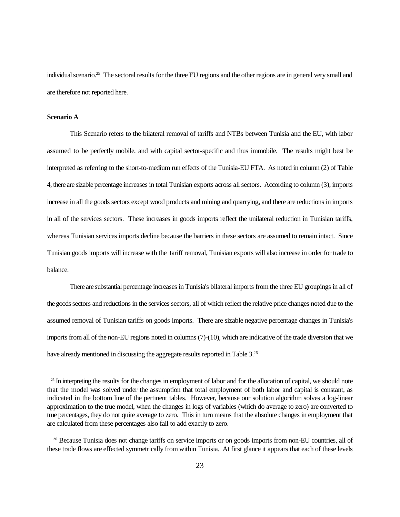individual scenario.<sup>25</sup> The sectoral results for the three EU regions and the other regions are in general very small and are therefore not reported here.

### **Scenario A**

This Scenario refers to the bilateral removal of tariffs and NTBs between Tunisia and the EU, with labor assumed to be perfectly mobile, and with capital sector-specific and thus immobile. The results might best be interpreted as referring to the short-to-medium run effects of the Tunisia-EU FTA. As noted in column (2) of Table 4, there are sizable percentage increases in total Tunisian exports across all sectors. According to column (3), imports increase in all the goods sectors except wood products and mining and quarrying, and there are reductions in imports in all of the services sectors. These increases in goods imports reflect the unilateral reduction in Tunisian tariffs, whereas Tunisian services imports decline because the barriers in these sectors are assumed to remain intact. Since Tunisian goods imports will increase with the tariff removal, Tunisian exports will also increase in order for trade to balance.

There are substantial percentage increases in Tunisia's bilateral imports from the three EU groupings in all of the goods sectors and reductions in the services sectors, all of which reflect the relative price changes noted due to the assumed removal of Tunisian tariffs on goods imports. There are sizable negative percentage changes in Tunisia's imports from all of the non-EU regions noted in columns (7)-(10), which are indicative of the trade diversion that we have already mentioned in discussing the aggregate results reported in Table 3.<sup>26</sup>

 $25$  In interpreting the results for the changes in employment of labor and for the allocation of capital, we should note that the model was solved under the assumption that total employment of both labor and capital is constant, as indicated in the bottom line of the pertinent tables. However, because our solution algorithm solves a log-linear approximation to the true model, when the changes in logs of variables (which do average to zero) are converted to true percentages, they do not quite average to zero. This in turn means that the absolute changes in employment that are calculated from these percentages also fail to add exactly to zero.

<sup>&</sup>lt;sup>26</sup> Because Tunisia does not change tariffs on service imports or on goods imports from non-EU countries, all of these trade flows are effected symmetrically from within Tunisia. At first glance it appears that each of these levels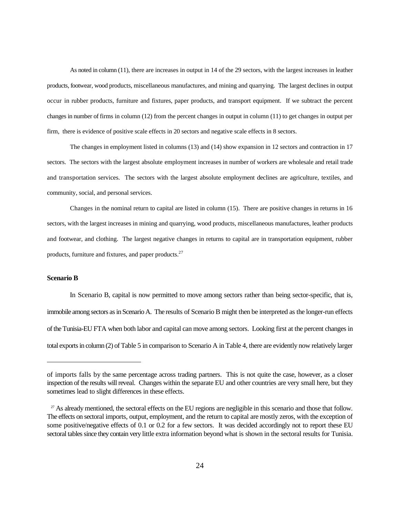As noted in column (11), there are increases in output in 14 of the 29 sectors, with the largest increases in leather products, footwear, wood products, miscellaneous manufactures, and mining and quarrying. The largest declines in output occur in rubber products, furniture and fixtures, paper products, and transport equipment. If we subtract the percent changes in number of firms in column (12) from the percent changes in output in column (11) to get changes in output per firm, there is evidence of positive scale effects in 20 sectors and negative scale effects in 8 sectors.

The changes in employment listed in columns (13) and (14) show expansion in 12 sectors and contraction in 17 sectors. The sectors with the largest absolute employment increases in number of workers are wholesale and retail trade and transportation services. The sectors with the largest absolute employment declines are agriculture, textiles, and community, social, and personal services.

Changes in the nominal return to capital are listed in column (15). There are positive changes in returns in 16 sectors, with the largest increases in mining and quarrying, wood products, miscellaneous manufactures, leather products and footwear, and clothing. The largest negative changes in returns to capital are in transportation equipment, rubber products, furniture and fixtures, and paper products.27

### **Scenario B**

In Scenario B, capital is now permitted to move among sectors rather than being sector-specific, that is, immobile among sectors as in Scenario A. The results of Scenario B might then be interpreted as the longer-run effects of the Tunisia-EU FTA when both labor and capital can move among sectors. Looking first at the percent changes in total exports in column (2) of Table 5 in comparison to Scenario A in Table 4, there are evidently now relatively larger

of imports falls by the same percentage across trading partners. This is not quite the case, however, as a closer inspection of the results will reveal. Changes within the separate EU and other countries are very small here, but they sometimes lead to slight differences in these effects.

 $27$  As already mentioned, the sectoral effects on the EU regions are negligible in this scenario and those that follow. The effects on sectoral imports, output, employment, and the return to capital are mostly zeros, with the exception of some positive/negative effects of 0.1 or 0.2 for a few sectors. It was decided accordingly not to report these EU sectoral tables since they contain very little extra information beyond what is shown in the sectoral results for Tunisia.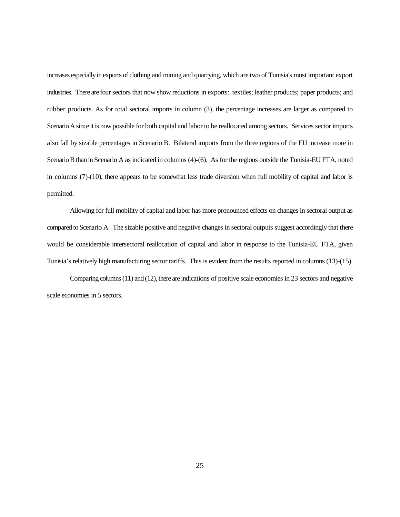increases especially in exports of clothing and mining and quarrying, which are two of Tunisia's most important export industries. There are four sectors that now show reductions in exports: textiles; leather products; paper products; and rubber products. As for total sectoral imports in column (3), the percentage increases are larger as compared to Scenario A since it is now possible for both capital and labor to be reallocated among sectors. Services sector imports also fall by sizable percentages in Scenario B. Bilateral imports from the three regions of the EU increase more in Scenario B than in Scenario A as indicated in columns (4)-(6). As for the regions outside the Tunisia-EU FTA, noted in columns (7)-(10), there appears to be somewhat less trade diversion when full mobility of capital and labor is permitted.

Allowing for full mobility of capital and labor has more pronounced effects on changes in sectoral output as compared to Scenario A. The sizable positive and negative changes in sectoral outputs suggest accordingly that there would be considerable intersectoral reallocation of capital and labor in response to the Tunisia-EU FTA, given Tunisia's relatively high manufacturing sector tariffs. This is evident from the results reported in columns (13)-(15).

Comparing columns (11) and (12), there are indications of positive scale economies in 23 sectors and negative scale economies in 5 sectors.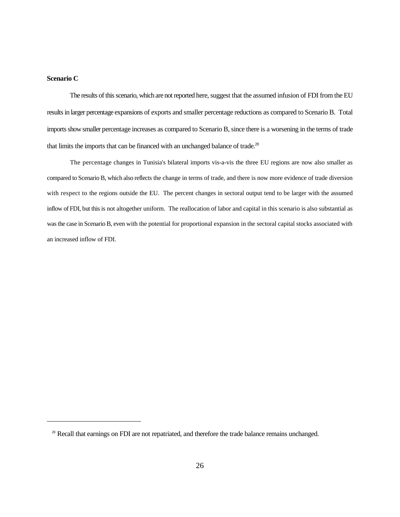### **Scenario C**

The results of this scenario, which are not reported here, suggest that the assumed infusion of FDI from the EU results in larger percentage expansions of exports and smaller percentage reductions as compared to Scenario B. Total imports show smaller percentage increases as compared to Scenario B, since there is a worsening in the terms of trade that limits the imports that can be financed with an unchanged balance of trade.<sup>28</sup>

The percentage changes in Tunisia's bilateral imports vis-a-vis the three EU regions are now also smaller as compared to Scenario B, which also reflects the change in terms of trade, and there is now more evidence of trade diversion with respect to the regions outside the EU. The percent changes in sectoral output tend to be larger with the assumed inflow of FDI, but this is not altogether uniform. The reallocation of labor and capital in this scenario is also substantial as was the case in Scenario B, even with the potential for proportional expansion in the sectoral capital stocks associated with an increased inflow of FDI.

<sup>&</sup>lt;sup>28</sup> Recall that earnings on FDI are not repatriated, and therefore the trade balance remains unchanged.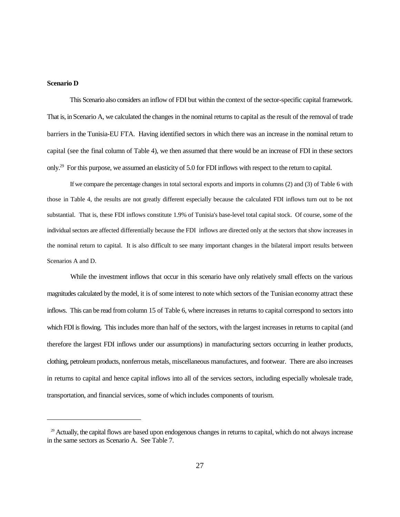### **Scenario D**

This Scenario also considers an inflow of FDI but within the context of the sector-specific capital framework. That is, in Scenario A, we calculated the changes in the nominal returns to capital as the result of the removal of trade barriers in the Tunisia-EU FTA. Having identified sectors in which there was an increase in the nominal return to capital (see the final column of Table 4), we then assumed that there would be an increase of FDI in these sectors only.<sup>29</sup> For this purpose, we assumed an elasticity of 5.0 for FDI inflows with respect to the return to capital.

If we compare the percentage changes in total sectoral exports and imports in columns (2) and (3) of Table 6 with those in Table 4, the results are not greatly different especially because the calculated FDI inflows turn out to be not substantial. That is, these FDI inflows constitute 1.9% of Tunisia's base-level total capital stock. Of course, some of the individual sectors are affected differentially because the FDI inflows are directed only at the sectors that show increases in the nominal return to capital. It is also difficult to see many important changes in the bilateral import results between Scenarios A and D.

While the investment inflows that occur in this scenario have only relatively small effects on the various magnitudes calculated by the model, it is of some interest to note which sectors of the Tunisian economy attract these inflows. This can be read from column 15 of Table 6, where increases in returns to capital correspond to sectors into which FDI is flowing. This includes more than half of the sectors, with the largest increases in returns to capital (and therefore the largest FDI inflows under our assumptions) in manufacturing sectors occurring in leather products, clothing, petroleum products, nonferrous metals, miscellaneous manufactures, and footwear. There are also increases in returns to capital and hence capital inflows into all of the services sectors, including especially wholesale trade, transportation, and financial services, some of which includes components of tourism.

 $29$  Actually, the capital flows are based upon endogenous changes in returns to capital, which do not always increase in the same sectors as Scenario A. See Table 7.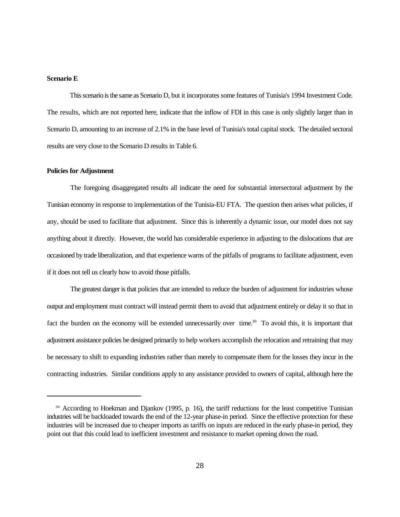### **Scenario E**

This scenario is the same as Scenario D, but it incorporates some features of Tunisia's 1994 Investment Code. The results, which are not reported here, indicate that the inflow of FDI in this case is only slightly larger than in Scenario D, amounting to an increase of 2.1% in the base level of Tunisia's total capital stock. The detailed sectoral results are very close to the Scenario D results in Table 6.

### **Policies for Adjustment**

The foregoing disaggregated results all indicate the need for substantial intersectoral adjustment by the Tunisian economy in response to implementation of the Tunisia-EU FTA. The question then arises what policies, if any, should be used to facilitate that adjustment. Since this is inherently a dynamic issue, our model does not say anything about it directly. However, the world has considerable experience in adjusting to the dislocations that are occasioned by trade liberalization, and that experience warns of the pitfalls of programs to facilitate adjustment, even if it does not tell us clearly how to avoid those pitfalls.

The greatest danger is that policies that are intended to reduce the burden of adjustment for industries whose output and employment must contract will instead permit them to avoid that adjustment entirely or delay it so that in fact the burden on the economy will be extended unnecessarily over time.<sup>30</sup> To avoid this, it is important that adjustment assistance policies be designed primarily to help workers accomplish the relocation and retraining that may be necessary to shift to expanding industries rather than merely to compensate them for the losses they incur in the contracting industries. Similar conditions apply to any assistance provided to owners of capital, although here the

<sup>&</sup>lt;sup>30</sup> According to Hoekman and Djankov (1995, p. 16), the tariff reductions for the least competitive Tunisian industries will be backloaded towards the end of the 12-year phase-in period. Since the effective protection for these industries will be increased due to cheaper imports as tariffs on inputs are reduced in the early phase-in period, they point out that this could lead to inefficient investment and resistance to market opening down the road.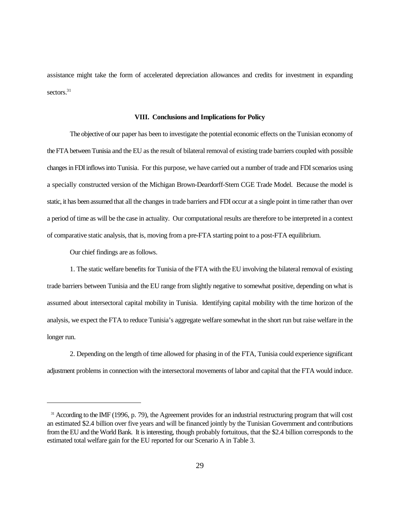assistance might take the form of accelerated depreciation allowances and credits for investment in expanding sectors.<sup>31</sup>

### **VIII. Conclusions and Implications for Policy**

The objective of our paper has been to investigate the potential economic effects on the Tunisian economy of the FTA between Tunisia and the EU as the result of bilateral removal of existing trade barriers coupled with possible changes in FDI inflows into Tunisia. For this purpose, we have carried out a number of trade and FDI scenarios using a specially constructed version of the Michigan Brown-Deardorff-Stern CGE Trade Model. Because the model is static, it has been assumed that all the changes in trade barriers and FDI occur at a single point in time rather than over a period of time as will be the case in actuality. Our computational results are therefore to be interpreted in a context of comparative static analysis, that is, moving from a pre-FTA starting point to a post-FTA equilibrium.

Our chief findings are as follows.

1. The static welfare benefits for Tunisia of the FTA with the EU involving the bilateral removal of existing trade barriers between Tunisia and the EU range from slightly negative to somewhat positive, depending on what is assumed about intersectoral capital mobility in Tunisia. Identifying capital mobility with the time horizon of the analysis, we expect the FTA to reduce Tunisia's aggregate welfare somewhat in the short run but raise welfare in the longer run.

2. Depending on the length of time allowed for phasing in of the FTA, Tunisia could experience significant adjustment problems in connection with the intersectoral movements of labor and capital that the FTA would induce.

 $31$  According to the IMF (1996, p. 79), the Agreement provides for an industrial restructuring program that will cost an estimated \$2.4 billion over five years and will be financed jointly by the Tunisian Government and contributions from the EU and the World Bank. It is interesting, though probably fortuitous, that the \$2.4 billion corresponds to the estimated total welfare gain for the EU reported for our Scenario A in Table 3.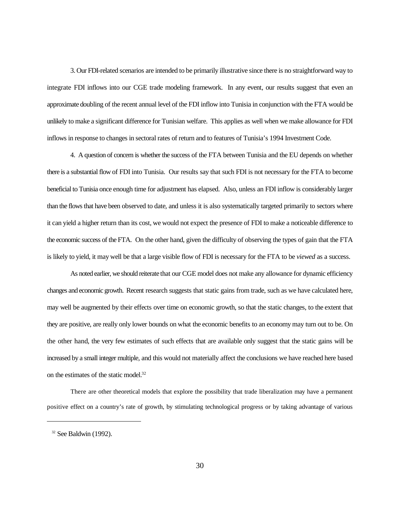3. Our FDI-related scenarios are intended to be primarily illustrative since there is no straightforward way to integrate FDI inflows into our CGE trade modeling framework. In any event, our results suggest that even an approximate doubling of the recent annual level of the FDI inflow into Tunisia in conjunction with the FTA would be unlikely to make a significant difference for Tunisian welfare. This applies as well when we make allowance for FDI inflows in response to changes in sectoral rates of return and to features of Tunisia's 1994 Investment Code.

4. A question of concern is whether the success of the FTA between Tunisia and the EU depends on whether there is a substantial flow of FDI into Tunisia. Our results say that such FDI is not necessary for the FTA to become beneficial to Tunisia once enough time for adjustment has elapsed. Also, unless an FDI inflow is considerably larger than the flows that have been observed to date, and unless it is also systematically targeted primarily to sectors where it can yield a higher return than its cost, we would not expect the presence of FDI to make a noticeable difference to the economic success of the FTA. On the other hand, given the difficulty of observing the types of gain that the FTA is likely to yield, it may well be that a large visible flow of FDI is necessary for the FTA to be *viewed* as a success.

As noted earlier, we should reiterate that our CGE model does not make any allowance for dynamic efficiency changes and economic growth. Recent research suggests that static gains from trade, such as we have calculated here, may well be augmented by their effects over time on economic growth, so that the static changes, to the extent that they are positive, are really only lower bounds on what the economic benefits to an economy may turn out to be. On the other hand, the very few estimates of such effects that are available only suggest that the static gains will be increased by a small integer multiple, and this would not materially affect the conclusions we have reached here based on the estimates of the static model.32

There are other theoretical models that explore the possibility that trade liberalization may have a permanent positive effect on a country's rate of growth, by stimulating technological progress or by taking advantage of various

 $32$  See Baldwin (1992).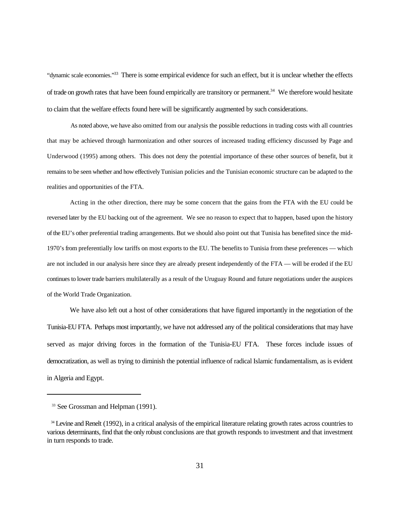"dynamic scale economies."<sup>33</sup> There is some empirical evidence for such an effect, but it is unclear whether the effects of trade on growth rates that have been found empirically are transitory or permanent.<sup>34</sup> We therefore would hesitate to claim that the welfare effects found here will be significantly augmented by such considerations.

As noted above, we have also omitted from our analysis the possible reductions in trading costs with all countries that may be achieved through harmonization and other sources of increased trading efficiency discussed by Page and Underwood (1995) among others. This does not deny the potential importance of these other sources of benefit, but it remains to be seen whether and how effectively Tunisian policies and the Tunisian economic structure can be adapted to the realities and opportunities of the FTA.

Acting in the other direction, there may be some concern that the gains from the FTA with the EU could be reversed later by the EU backing out of the agreement. We see no reason to expect that to happen, based upon the history of the EU's other preferential trading arrangements. But we should also point out that Tunisia has benefited since the mid-1970's from preferentially low tariffs on most exports to the EU. The benefits to Tunisia from these preferences — which are not included in our analysis here since they are already present independently of the FTA — will be eroded if the EU continues to lower trade barriers multilaterally as a result of the Uruguay Round and future negotiations under the auspices of the World Trade Organization.

We have also left out a host of other considerations that have figured importantly in the negotiation of the Tunisia-EU FTA. Perhaps most importantly, we have not addressed any of the political considerations that may have served as major driving forces in the formation of the Tunisia-EU FTA. These forces include issues of democratization, as well as trying to diminish the potential influence of radical Islamic fundamentalism, as is evident in Algeria and Egypt.

<sup>&</sup>lt;sup>33</sup> See Grossman and Helpman (1991).

 $34$  Levine and Renelt (1992), in a critical analysis of the empirical literature relating growth rates across countries to various determinants, find that the only robust conclusions are that growth responds to investment and that investment in turn responds to trade.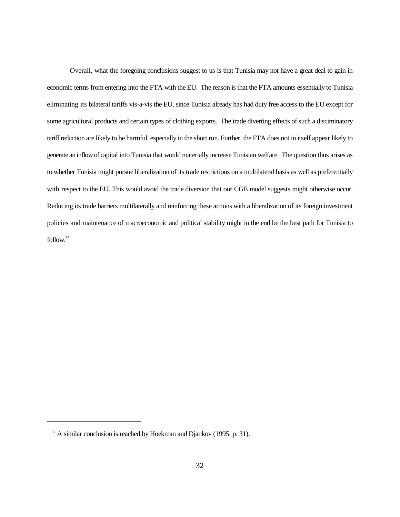Overall, what the foregoing conclusions suggest to us is that Tunisia may not have a great deal to gain in economic terms from entering into the FTA with the EU. The reason is that the FTA amounts essentially to Tunisia eliminating its bilateral tariffs vis-a-vis the EU, since Tunisia already has had duty free access to the EU except for some agricultural products and certain types of clothing exports. The trade diverting effects of such a disciminatory tariff reduction are likely to be harmful, especially in the short run. Further, the FTA does not in itself appear likely to generate an inflow of capital into Tunisia that would materially increase Tunisian welfare. The question thus arises as to whether Tunisia might pursue liberalization of its trade restrictions on a multilateral basis as well as preferentially with respect to the EU. This would avoid the trade diversion that our CGE model suggests might otherwise occur. Reducing its trade barriers multilaterally and reinforcing these actions with a liberalization of its foreign investment policies and maintenance of macroeconomic and political stability might in the end be the best path for Tunisia to  $follow.<sup>35</sup>$ 

<sup>&</sup>lt;sup>35</sup> A similar conclusion is reached by Hoekman and Djankov (1995, p. 31).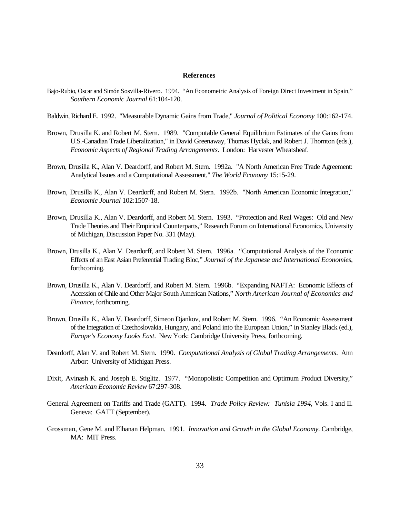### **References**

- Bajo-Rubio, Oscar and Simón Sosvilla-Rivero. 1994. "An Econometric Analysis of Foreign Direct Investment in Spain," *Southern Economic Journal* 61:104-120.
- Baldwin, Richard E. 1992. "Measurable Dynamic Gains from Trade," *Journal of Political Economy* 100:162-174.
- Brown, Drusilla K. and Robert M. Stern. 1989. "Computable General Equilibrium Estimates of the Gains from U.S.-Canadian Trade Liberalization," in David Greenaway, Thomas Hyclak, and Robert J. Thornton (eds.), *Economic Aspects of Regional Trading Arrangements*. London: Harvester Wheatsheaf.
- Brown, Drusilla K., Alan V. Deardorff, and Robert M. Stern. 1992a. "A North American Free Trade Agreement: Analytical Issues and a Computational Assessment," *The World Economy* 15:15-29.
- Brown, Drusilla K., Alan V. Deardorff, and Robert M. Stern. 1992b. "North American Economic Integration," *Economic Journal* 102:1507-18.
- Brown, Drusilla K., Alan V. Deardorff, and Robert M. Stern. 1993. "Protection and Real Wages: Old and New Trade Theories and Their Empirical Counterparts," Research Forum on International Economics, University of Michigan, Discussion Paper No. 331 (May).
- Brown, Drusilla K., Alan V. Deardorff, and Robert M. Stern. 1996a. "Computational Analysis of the Economic Effects of an East Asian Preferential Trading Bloc," *Journal of the Japanese and International Economies*, forthcoming.
- Brown, Drusilla K., Alan V. Deardorff, and Robert M. Stern. 1996b. "Expanding NAFTA: Economic Effects of Accession of Chile and Other Major South American Nations," *North American Journal of Economics and Finance*, forthcoming.
- Brown, Drusilla K., Alan V. Deardorff, Simeon Djankov, and Robert M. Stern. 1996. "An Economic Assessment of the Integration of Czechoslovakia, Hungary, and Poland into the European Union," in Stanley Black (ed.), *Europe's Economy Looks East*. New York: Cambridge University Press, forthcoming.
- Deardorff, Alan V. and Robert M. Stern. 1990. *Computational Analysis of Global Trading Arrangements*. Ann Arbor: University of Michigan Press.
- Dixit, Avinash K. and Joseph E. Stiglitz. 1977. "Monopolistic Competition and Optimum Product Diversity," *American Economic Review* 67:297-308.
- General Agreement on Tariffs and Trade (GATT). 1994. *Trade Policy Review: Tunisia 1994*, Vols. I and II. Geneva: GATT (September).
- Grossman, Gene M. and Elhanan Helpman. 1991. *Innovation and Growth in the Global Economy*. Cambridge, MA: MIT Press.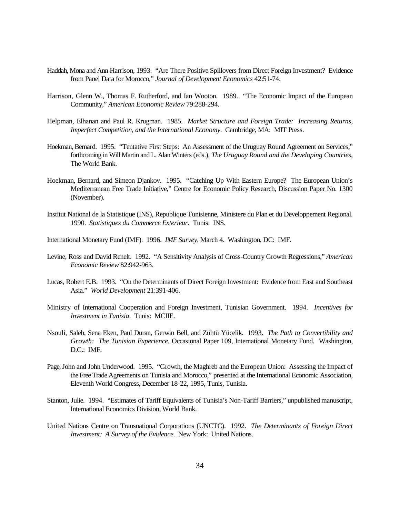- Haddah, Mona and Ann Harrison, 1993. "Are There Positive Spillovers from Direct Foreign Investment? Evidence from Panel Data for Morocco," *Journal of Development Economics* 42:51-74.
- Harrison, Glenn W., Thomas F. Rutherford, and Ian Wooton. 1989. "The Economic Impact of the European Community," *American Economic Review* 79:288-294.
- Helpman, Elhanan and Paul R. Krugman. 1985. *Market Structure and Foreign Trade: Increasing Returns, Imperfect Competition, and the International Economy*. Cambridge, MA: MIT Press.
- Hoekman, Bernard. 1995. "Tentative First Steps: An Assessment of the Uruguay Round Agreement on Services," forthcoming in Will Martin and L. Alan Winters (eds.), *The Uruguay Round and the Developing Countries*, The World Bank.
- Hoekman, Bernard, and Simeon Djankov. 1995. "Catching Up With Eastern Europe? The European Union's Mediterranean Free Trade Initiative," Centre for Economic Policy Research, Discussion Paper No. 1300 (November).
- Institut National de la Statistique (INS), Republique Tunisienne, Ministere du Plan et du Developpement Regional. 1990. *Statistiques du Commerce Exterieur*. Tunis: INS.
- International Monetary Fund (IMF). 1996. *IMF Survey*, March 4. Washington, DC: IMF.
- Levine, Ross and David Renelt. 1992. "A Sensitivity Analysis of Cross-Country Growth Regressions," *American Economic Review* 82:942-963.
- Lucas, Robert E.B. 1993. "On the Determinants of Direct Foreign Investment: Evidence from East and Southeast Asia." *World Development* 21:391-406.
- Ministry of International Cooperation and Foreign Investment, Tunisian Government. 1994. *Incentives for Investment in Tunisia*. Tunis: MCIIE.
- Nsouli, Saleh, Sena Eken, Paul Duran, Gerwin Bell, and Zühtü Yücelik. 1993. *The Path to Convertibility and Growth: The Tunisian Experience*, Occasional Paper 109, International Monetary Fund. Washington, D.C.: IMF.
- Page, John and John Underwood. 1995. "Growth, the Maghreb and the European Union: Assessing the Impact of the Free Trade Agreements on Tunisia and Morocco," presented at the International Economic Association, Eleventh World Congress, December 18-22, 1995, Tunis, Tunisia.
- Stanton, Julie. 1994. "Estimates of Tariff Equivalents of Tunisia's Non-Tariff Barriers," unpublished manuscript, International Economics Division, World Bank.
- United Nations Centre on Transnational Corporations (UNCTC). 1992. *The Determinants of Foreign Direct Investment: A Survey of the Evidence*. New York: United Nations.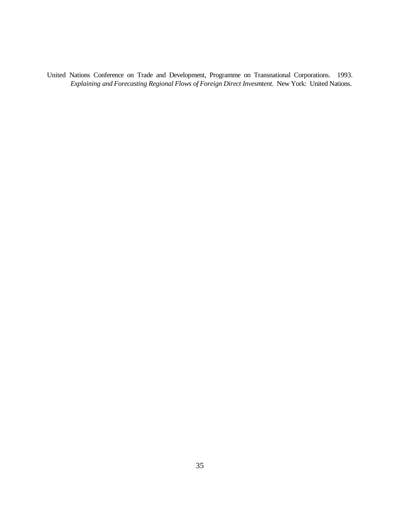United Nations Conference on Trade and Development, Programme on Transnational Corporations. 1993. *Explaining and Forecasting Regional Flows of Foreign Direct Invesmtent*. New York: United Nations.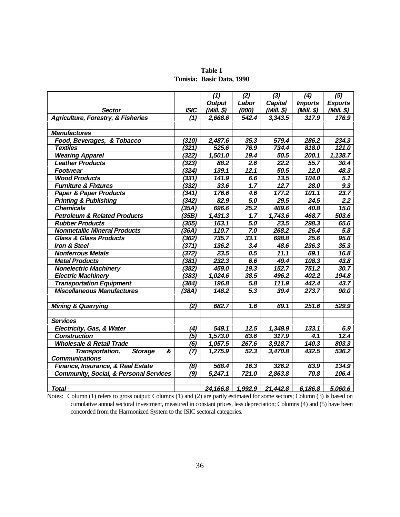| <b>Table 1</b>            |  |
|---------------------------|--|
| Tunisia: Basic Data, 1990 |  |

|                                                              |                  | (1)           | (2)              | $(3)$             | (4)            | $\overline{(5)}$ |
|--------------------------------------------------------------|------------------|---------------|------------------|-------------------|----------------|------------------|
|                                                              |                  | <b>Output</b> | Labor            | <b>Capital</b>    | <b>Imports</b> | <b>Exports</b>   |
| <b>Sector</b>                                                | <b>ISIC</b>      | (Mill. \$)    | (000)            | (Mill. \$)        | $(Mill.$ \$)   | (Mill. \$)       |
| <b>Agriculture, Forestry, &amp; Fisheries</b>                | (1)              | 2,668.6       | 542.4            | 3,343.5           | 317.9          | 176.9            |
|                                                              |                  |               |                  |                   |                |                  |
| <b>Manufactures</b>                                          |                  |               |                  |                   |                |                  |
| Food, Beverages, & Tobacco                                   | (310)            | 2,487.6       | 35.3             | 579.4             | 286.2          | 234.3            |
| <b>Textiles</b>                                              | (321)            | 525.6         | 76.9             | 734.4             | 818.0          | 121.0            |
| <b>Wearing Apparel</b>                                       | (322)            | 1,501.0       | 19.4             | 50.5              | 200.1          | 1,138.7          |
| <b>Leather Products</b>                                      | (323)            | 88.2          | $\overline{2.6}$ | 22.2              | 55.7           | 30.4             |
| <b>Footwear</b>                                              | (324)            | 139.1         | 12.1             | 50.5              | 12.0           | 48.3             |
| <b>Wood Products</b>                                         | (331)            | 141.9         | 6.6              | 13.5              | 104.0          | $\overline{5.1}$ |
| <b>Furniture &amp; Fixtures</b>                              | (332)            | 33.6          | $\overline{1.7}$ | $\overline{12.7}$ | 28.0           | 9.3              |
| <b>Paper &amp; Paper Products</b>                            | (341)            | 176.6         | 4.6              | 177.2             | 101.1          | 23.7             |
| <b>Printing &amp; Publishing</b>                             | (342)            | 82.9          | $\overline{5.0}$ | 29.5              | 24.5           | 2.2              |
| <b>Chemicals</b>                                             | (35A)            | 696.6         | 25.2             | 469.6             | 40.8           | 15.0             |
| <b>Petroleum &amp; Related Products</b>                      | (35B)            | 1,431.3       | $\overline{1.7}$ | 1,743.6           | 468.7          | 503.6            |
| <b>Rubber Products</b>                                       | (355)            | 163.1         | $\overline{5.0}$ | 23.5              | 298.3          | 65.6             |
| <b>Nonmetallic Mineral Products</b>                          | (36A)            | 110.7         | 7.0              | 268.2             | 26.4           | $\overline{5.8}$ |
| <b>Glass &amp; Glass Products</b>                            | (362)            | 735.7         | 33.1             | 698.8             | 25.6           | 95.6             |
| <b>Iron &amp; Steel</b>                                      | (371)            | 136.2         | 3.4              | 48.6              | 236.3          | 35.3             |
| <b>Nonferrous Metals</b>                                     | (372)            | 23.5          | 0.5              | 11.1              | 69.1           | 16.8             |
| <b>Metal Products</b>                                        | (381)            | 232.3         | 6.6              | 49.4              | 108.3          | 43.8             |
| <b>Nonelectric Machinery</b>                                 | (382)            | 459.0         | 19.3             | 152.7             | 751.2          | 30.7             |
| <b>Electric Machinery</b>                                    | (383)            | 1,024.6       | 38.5             | 496.2             | 402.2          | 194.8            |
| <b>Transportation Equipment</b>                              | (384)            | 196.8         | 5.8              | 111.9             | 442.4          | 43.7             |
| <b>Miscellaneous Manufactures</b>                            | (38A)            | 148.2         | $\overline{5.3}$ | 39.4              | 273.7          | 90.0             |
|                                                              |                  |               |                  |                   |                |                  |
| <b>Mining &amp; Quarrying</b>                                | (2)              | 682.7         | 1.6              | 69.1              | 251.6          | 529.9            |
|                                                              |                  |               |                  |                   |                |                  |
| <b>Services</b>                                              |                  |               |                  |                   |                |                  |
| Electricity, Gas, & Water                                    | (4)              | 549.1         | 12.5             | 1,349.9           | 133.1          | 6.9              |
| <b>Construction</b>                                          | $\overline{(5)}$ | 1,573.0       | 63.6             | 317.9             | 4.1            | 12.4             |
| <b>Wholesale &amp; Retail Trade</b>                          | (6)              | 1,057.5       | 267.6            | 3,918.7           | 140.3          | 803.3            |
| $\overline{\mathbf{z}}$<br><b>Storage</b><br>Transportation, | (7)              | 1,275.9       | 52.3             | 3,470.8           | 432.5          | 536.2            |
| <b>Communications</b>                                        |                  |               |                  |                   |                |                  |
| Finance, Insurance, & Real Estate                            | (8)              | 568.4         | 16.3             | 326.2             | 63.9           | 134.9            |
| <b>Community, Social, &amp; Personal Services</b>            | (9)              | 5,247.1       | 721.0            | 2,863.8           | 70.8           | 106.4            |
|                                                              |                  |               |                  |                   |                |                  |
| <b>Total</b>                                                 |                  | 24,166.8      | 1,992.9          | 21,442.8          | 6,186.8        | 5,060.6          |

Notes: Column (1) refers to gross output; Columns (1) and (2) are partly estimated for some sectors; Column (3) is based on cumulative annual sectoral investment, measured in constant prices, less depreciation; Columns (4) and (5) have been concorded from the Harmonized System to the ISIC sectoral categories.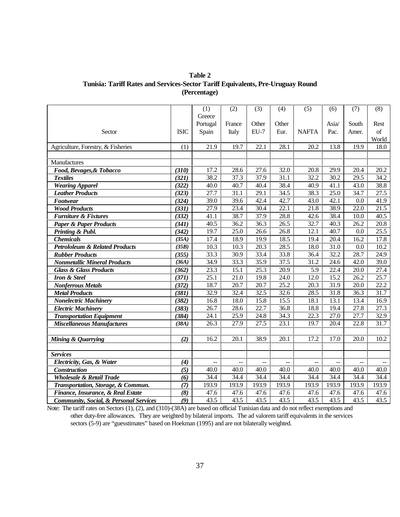**Table 2 Tunisia: Tariff Rates and Services-Sector Tariff Equivalents, Pre-Uruguay Round (Percentage)**

|                                           |             | (1)               | (2)               | (3)               | (4)               | (5)            | (6)                      | (7)               | (8)                         |
|-------------------------------------------|-------------|-------------------|-------------------|-------------------|-------------------|----------------|--------------------------|-------------------|-----------------------------|
|                                           |             | Greece            |                   |                   |                   |                |                          |                   |                             |
|                                           |             | Portugal          | France            | Other             | Other             |                | Asia                     | South             | Rest                        |
| Sector                                    | <b>ISIC</b> | Spain             | Italy             | $EU-7$            | Eur.              | <b>NAFTA</b>   | Pac.                     | Amer.             | of                          |
|                                           |             |                   |                   |                   |                   |                |                          |                   | World                       |
| Agriculture, Forestry, & Fisheries        | (1)         | 21.9              | 19.7              | 22.1              | 28.1              | 20.2           | 13.8                     | 19.9              | 18.0                        |
|                                           |             |                   |                   |                   |                   |                |                          |                   |                             |
| Manufactures                              |             |                   |                   |                   |                   |                |                          |                   |                             |
| Food, Bevages, & Tobacco                  | (310)       | 17.2              | 28.6              | 27.6              | 32.0              | 20.8           | 29.9                     | 20.4              | 20.2                        |
| <b>Textiles</b>                           | (321)       | 38.2              | 37.3              | 37.9              | 31.1              | 32.2           | 30.2                     | 29.5              | 34.2                        |
| <b>Wearing Apparel</b>                    | (322)       | 40.0              | 40.7              | 40.4              | 38.4              | 40.9           | 41.1                     | 43.0              | 38.8                        |
| <b>Leather Products</b>                   | (323)       | 27.7              | 31.1              | 29.1              | 34.5              | 38.3           | 25.0                     | 34.7              | 27.5                        |
| <b>Footwear</b>                           | (324)       | 39.0              | 39.6              | 42.4              | 42.7              | 43.0           | 42.1                     | 0.0               | 41.9                        |
| <b>Wood Products</b>                      | (331)       | 27.9              | 23.4              | 30.4              | $\overline{22.1}$ | 21.8           | 38.9                     | 22.0              | $\overline{21.5}$           |
| <b>Furniture &amp; Fixtures</b>           | (332)       | 41.1              | 38.7              | 37.9              | 28.8              | 42.6           | 38.4                     | 10.0              | 40.5                        |
| <b>Paper &amp; Paper Products</b>         | (341)       | 40.5              | 36.2              | 36.3              | 26.5              | 32.7           | 40.3                     | 26.2              | 20.8                        |
| Printing & Publ.                          | (342)       | 19.7              | 25.0              | 26.6              | 26.8              | 12.1           | 40.7                     | 0.0               | 25.5                        |
| <b>Chemicals</b>                          | (35A)       | 17.4              | 18.9              | 19.9              | 18.5              | 19.4           | 20.4                     | 16.2              | 17.8                        |
| <b>Petrololeum &amp; Related Products</b> | (35B)       | 10.3              | 10.3              | $\overline{20.3}$ | 28.5              | 18.0           | $\overline{31.0}$        | 0.0               | 10.2                        |
| <b>Rubber Products</b>                    | (355)       | 33.3              | 30.9              | 33.4              | 33.8              | 36.4           | 32.2                     | 28.7              | $\overline{24.9}$           |
| <b>Nonmetallic Mineral Products</b>       | (36A)       | 34.9              | 33.3              | 35.9              | 37.5              | 31.2           | $\overline{24.6}$        | 42.0              | 39.0                        |
| <b>Glass &amp; Glass Products</b>         | (362)       | 23.3              | 15.1              | 25.3              | 20.9              | 5.9            | 22.4                     | 20.0              | 27.4                        |
| <b>Iron &amp; Steel</b>                   | (371)       | 25.1              | 21.0              | 19.8              | $\overline{24.0}$ | 12.0           | 15.2                     | 26.2              | 25.7                        |
| <b>Nonferrous Metals</b>                  | (372)       | 18.7              | $20.\overline{7}$ | 20.7              | 25.2              | 20.3           | 31.9                     | 20.0              | 22.2                        |
| <b>Metal Products</b>                     | (381)       | 32.9              | 32.4              | 32.5              | 32.6              | 28.5           | 31.8                     | 36.3              | $\overline{31.7}$           |
| <b>Nonelectric Machinery</b>              | (382)       | 16.8              | 18.0              | 15.8              | 15.5              | 18.1           | 13.1                     | 13.4              | 16.9                        |
| <b>Electric Machinery</b>                 | (383)       | $\overline{26.7}$ | 28.6              | 22.7              | 36.8              | 18.8           | 19.4                     | 27.8              | 27.3                        |
| <b>Transportation Equipment</b>           | (384)       | 24.1              | 25.9              | 24.8              | 34.3              | 22.3           | $\overline{27.0}$        | 27.7              | 32.9                        |
| <b>Miscellaneous Manufactures</b>         | (38A)       | 26.3              | 27.9              | $\overline{27.5}$ | 23.1              | 19.7           | $\overline{20.4}$        | $\overline{22.8}$ | 31.7                        |
|                                           |             |                   |                   |                   |                   |                |                          |                   |                             |
| Mining & Quarrying                        | (2)         | 16.2              | 20.1              | 38.9              | 20.1              | 17.2           | 17.0                     | 20.0              | 10.2                        |
|                                           |             |                   |                   |                   |                   |                |                          |                   |                             |
| <b>Services</b>                           |             |                   |                   |                   |                   |                |                          |                   |                             |
| Electricity, Gas, & Water                 | (4)         | $\overline{a}$    | $-$               | $\overline{a}$    | $\overline{a}$    | $\overline{a}$ | $\overline{\phantom{a}}$ | --                | $\mathcal{L}_{\mathcal{F}}$ |
| <b>Construction</b>                       | (5)         | 40.0              | 40.0              | 40.0              | 40.0              | 40.0           | 40.0                     | 40.0              | 40.0                        |
| <b>Wholesale &amp; Retail Trade</b>       | (6)         | 34.4              | 34.4              | 34.4              | 34.4              | 34.4           | 34.4                     | 34.4              | 34.4                        |
| Transportation, Storage, & Commun.        | (7)         | 193.9             | 193.9             | 193.9             | 193.9             | 193.9          | 193.9                    | 193.9             | 193.9                       |
| Finance, Insurance, & Real Estate         | (8)         | 47.6              | 47.6              | 47.6              | 47.6              | 47.6           | 47.6                     | 47.6              | 47.6                        |
| Community, Social, & Personal Services    | (9)         | 43.5              | 43.5              | 43.5              | 43.5              | 43.5           | 43.5                     | 43.5              | 43.5                        |

Note: The tariff rates on Sectors (1), (2), and (310)-(38A) are based on official Tunisian data and do not reflect exemptions and other duty-free allowances. They are weighted by bilateral imports. The ad valorem tariff equivalents in the services sectors (5-9) are "guesstimates" based on Hoekman (1995) and are not bilaterally weighted.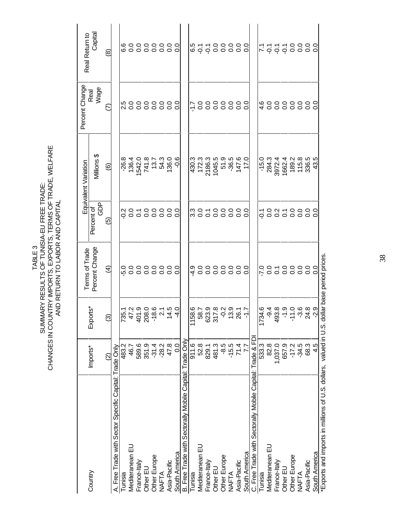| TABLE 3 | SUMMARY RESULTS OF TUNISIA-EU FREE TRADE: | CHANGES IN COUNTRY IMPORTS, EXPORTS, TERMS OF TRADE, WELFARE | AND RETURN TO LABOR AND CAPITAL |
|---------|-------------------------------------------|--------------------------------------------------------------|---------------------------------|
|---------|-------------------------------------------|--------------------------------------------------------------|---------------------------------|

|                                                          |                    |                                                                                                                                                                                                                                                                                                                           | Terms of Trade       |                           | Equivalent Variation                                                                                         | Percent Change        |                           |
|----------------------------------------------------------|--------------------|---------------------------------------------------------------------------------------------------------------------------------------------------------------------------------------------------------------------------------------------------------------------------------------------------------------------------|----------------------|---------------------------|--------------------------------------------------------------------------------------------------------------|-----------------------|---------------------------|
| Country                                                  | Imports*           | *ځ<br>⊑<br>Expo                                                                                                                                                                                                                                                                                                           | Percent Change       | Percent of                |                                                                                                              | Real<br>Wage          | Capital<br>Real Return to |
|                                                          |                    |                                                                                                                                                                                                                                                                                                                           |                      | <b>GDP</b>                | Millions \$                                                                                                  |                       |                           |
|                                                          | $\widehat{\omega}$ | ଡ଼                                                                                                                                                                                                                                                                                                                        | E)                   | į٥                        | $\circledcirc$                                                                                               |                       | @                         |
| A. Free Trade with Sector Specific Capital: Trade Only   |                    |                                                                                                                                                                                                                                                                                                                           |                      |                           |                                                                                                              |                       |                           |
| Tunisia                                                  | 483.2              |                                                                                                                                                                                                                                                                                                                           |                      |                           |                                                                                                              |                       |                           |
| Mediteranean EU                                          | 46.7               |                                                                                                                                                                                                                                                                                                                           |                      |                           |                                                                                                              |                       |                           |
| France-Italy                                             | 589.6              |                                                                                                                                                                                                                                                                                                                           | 00000000<br>00000000 |                           |                                                                                                              | naaaaaaa<br>Naddoodo  | cooooooo<br>coooooo       |
| Other EU                                                 | 351.9              |                                                                                                                                                                                                                                                                                                                           |                      |                           |                                                                                                              |                       |                           |
| Other Europe                                             | $-31.4$            |                                                                                                                                                                                                                                                                                                                           |                      |                           |                                                                                                              |                       |                           |
| NAFTA                                                    | $-28.2$            |                                                                                                                                                                                                                                                                                                                           |                      |                           |                                                                                                              |                       |                           |
| Asia-Pacific                                             | 47.8               |                                                                                                                                                                                                                                                                                                                           |                      |                           |                                                                                                              |                       |                           |
| South America                                            | $\overline{0}$     |                                                                                                                                                                                                                                                                                                                           |                      |                           |                                                                                                              |                       |                           |
| B. Free Trade with Sectorally Mobile Capital: Trade Only |                    |                                                                                                                                                                                                                                                                                                                           |                      |                           |                                                                                                              |                       |                           |
| Tunisia                                                  | 911.6              |                                                                                                                                                                                                                                                                                                                           |                      |                           |                                                                                                              |                       |                           |
| Mediteranean EU                                          | 52.8               | 1158.6<br>58.7.8<br>623.9<br>17<br>17.17                                                                                                                                                                                                                                                                                  | 40000000<br>00000000 | ~<br>~<br>~ ~ ~ ~ ~ ~ ~ ~ |                                                                                                              |                       | 87700000<br>89900000      |
| France-Italy                                             | 829.1              |                                                                                                                                                                                                                                                                                                                           |                      |                           |                                                                                                              |                       |                           |
| Other EU                                                 | 481.3              |                                                                                                                                                                                                                                                                                                                           |                      |                           |                                                                                                              |                       |                           |
| Other Europe                                             | $-8.5$<br>-15.5    |                                                                                                                                                                                                                                                                                                                           |                      |                           |                                                                                                              |                       |                           |
| <b>NAFTA</b>                                             |                    |                                                                                                                                                                                                                                                                                                                           |                      |                           |                                                                                                              |                       |                           |
| Asia-Pacific                                             | 71.4               |                                                                                                                                                                                                                                                                                                                           |                      |                           |                                                                                                              |                       |                           |
| South America                                            | $\overline{52}$    |                                                                                                                                                                                                                                                                                                                           |                      |                           |                                                                                                              |                       |                           |
| C. Free Trade with Sectorally Mobile Capital: Trade & FD |                    |                                                                                                                                                                                                                                                                                                                           |                      |                           |                                                                                                              |                       |                           |
| Tunisia                                                  | 533.3              |                                                                                                                                                                                                                                                                                                                           |                      |                           |                                                                                                              |                       |                           |
| Mediteranean EU                                          | 82.8               |                                                                                                                                                                                                                                                                                                                           |                      |                           |                                                                                                              |                       |                           |
| France-Italy                                             | 1,037.0            |                                                                                                                                                                                                                                                                                                                           |                      |                           |                                                                                                              |                       |                           |
| Other EU                                                 | 657.9              |                                                                                                                                                                                                                                                                                                                           |                      |                           |                                                                                                              |                       |                           |
| Other Europe                                             | $-17.2$            |                                                                                                                                                                                                                                                                                                                           |                      |                           |                                                                                                              |                       |                           |
| NAFTA                                                    | $-34.5$            |                                                                                                                                                                                                                                                                                                                           |                      |                           |                                                                                                              |                       |                           |
| Asia-Pacific                                             | 68.3               | $\begin{bmatrix} 6 & 4 & 8 & 9 & 0 & 0 & 8 & 9 \\ 7 & 9 & 3 & 3 & 5 & 8 & 9 \\ 1 & 9 & 3 & 7 & 5 & 8 & 9 \\ 1 & 1 & 1 & 1 & 1 & 1 \\ 1 & 1 & 1 & 1 & 1 & 1 \\ 1 & 1 & 1 & 1 & 1 & 1 \\ 1 & 1 & 1 & 1 & 1 & 1 \\ 1 & 1 & 1 & 1 & 1 & 1 \\ 1 & 1 & 1 & 1 & 1 & 1 \\ 1 & 1 & 1 & 1 & 1 & 1 \\ 1 & 1 & 1 & 1 & 1 & 1 \\ 1 & $ | 00500000<br>00500000 | TONTOOOO<br>QOOOOOO       | $-15.0$<br>$284.3$<br>$2872.4$<br>$3972.4$<br>$43.5$<br>$662.4$<br>$-15.8$<br>$-236.5$<br>$-15.8$<br>$-23.5$ | 400000000<br>60000000 | 77778888<br>7999888       |
| South America                                            | 4.5                |                                                                                                                                                                                                                                                                                                                           |                      |                           |                                                                                                              |                       |                           |
|                                                          |                    |                                                                                                                                                                                                                                                                                                                           |                      |                           |                                                                                                              |                       |                           |

\*Exports and imports in millions of U.S. dollars, valued in U.S. dollar base period prices. \*Exports and imports in millions of U.S. dollars, valued in U.S. dollar base period prices.

38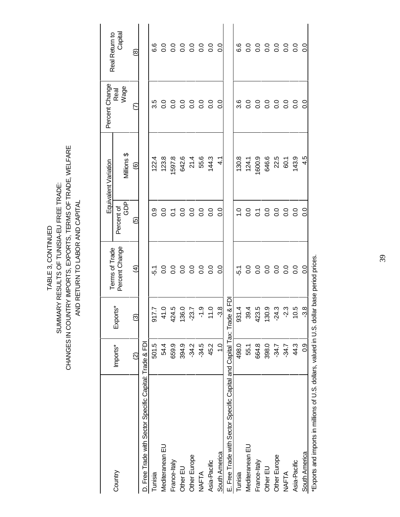CHANGES IN COUNTRY IMPORTS, EXPORTS, TERMS OF TRADE, WELFARE<br>AND RETURN TO LABOR AND CAPITAL CHANGES IN COUNTRY IMPORTS, EXPORTS, TERMS OF TRADE, WELFARE SUMMARY RESULTS OF TUNISIA-EU FREE TRADE: SUMMARY RESULTS OF TUNISIA-EU FREE TRADE: AND RETURN TO LABOR AND CAPITAL TABLE 3, CONTINUED TABLE 3, CONTINUED

|                                                                   |                          |          | Terms of Trade   |                   | Equivalent Variation | Percent Change                            | Real Return to                                                                    |
|-------------------------------------------------------------------|--------------------------|----------|------------------|-------------------|----------------------|-------------------------------------------|-----------------------------------------------------------------------------------|
| Country                                                           | Imports*                 | Exports* | Percent Change   | GDP<br>Percent of | Millions \$          | Real<br>Wage                              | Capital                                                                           |
|                                                                   | $\widehat{\mathfrak{Q}}$ | ල        | $\widehat{A}$    | 6                 | $\widehat{\circ}$    | E                                         | @                                                                                 |
| D. Free Trade with Sector Specific Capital: Trade & FDI           |                          |          |                  |                   |                      |                                           |                                                                                   |
| Tunisia                                                           | 501.5                    | 917.7    | <u>ين</u>        | 0.0               | 122.4                | 3.5                                       | 6.6                                                                               |
| Mediteranean EU                                                   | 54.4                     | 41.0     | 0.0              | 0.0               | 123.8                | 0.0                                       |                                                                                   |
| France-Italy                                                      | 659.9                    | 424.5    | 0.0              | $\overline{C}$    | 1597.8               | $\overline{0}$ .                          | 8<br>8<br>8<br>8<br>8<br>8<br>8<br>8<br>8<br>8<br>8<br>8<br>8<br>8<br>8<br>1<br>8 |
| Other EU                                                          | 394.9                    | 136.0    | $rac{0}{0}$      | $\frac{0}{0}$     | 642.6                | $\begin{array}{c} 0.0 \\ 0.0 \end{array}$ |                                                                                   |
| Other Europe                                                      | $-34.2$                  | $-23.7$  |                  |                   | 21.4                 |                                           |                                                                                   |
| <b>NAFTA</b>                                                      | $-34.5$                  | $-1.9$   | $\overline{0}$ . | 0.0               | 55.6                 | $\overline{0}$ .                          | S.                                                                                |
| Asia-Pacific                                                      | 45.2                     | 11.0     | 0.0              | 0.0               | 144.3                | 0.0                                       | C.O                                                                               |
| South America                                                     | $\frac{1}{1}$            | $-3.8$   | $\overline{0}$ . | $\overline{0}$ .  | $\frac{1}{4}$        | $\overline{0}$ .                          | $\overline{0}$                                                                    |
| E. Free Trade with Sector Specific Capital and Capital Tax: Trade |                          | 8 FDI    |                  |                   |                      |                                           |                                                                                   |
| Tunisia                                                           | 498.0                    | 931.4    | <u>ين</u>        | $\frac{0}{1}$     | 130.8                | 3.6                                       | 6.6                                                                               |
| Mediteranean EU                                                   | 55.1                     | 39.4     | 0.0              | $\overline{0}$ .  | 124.1                | 0.0                                       | 0.0                                                                               |
| France-Italy                                                      | 664.8                    | 423.5    | 0.0              | $\overline{C}$    | 1600.9               | $\overline{0}$ .                          |                                                                                   |
| Other EU                                                          | 398.0                    | 130.9    | 0.0              | 0.0               | 646.6                | $rac{0}{0}$                               | $\begin{array}{c} 0 & 0 & 0 \\ 0 & 0 & 0 \end{array}$                             |
| Other Europe                                                      | $-34.7$                  | $-24.3$  | 0.0              |                   | 22.5                 |                                           |                                                                                   |
| NAFTA                                                             | $-34.7$                  | $-2.3$   | 0.0              | 0.0               | 60.1                 | $\overline{0.0}$                          | S.                                                                                |
| Asia-Pacific                                                      | 44.3                     | 10.5     | 0.0              | C.O               | 143.9                | $\overline{0}$ .                          | 0.0                                                                               |
| South America                                                     | 0.9                      | $-3.8$   | S                | So                | 4.5                  | So                                        | S                                                                                 |

examinations<br>
\*Exports and imports in millions of U.S. dollars, valued in U.S. dollar base period prices. \*Exports and imports in millions of U.S. dollars, valued in U.S. dollar base period prices.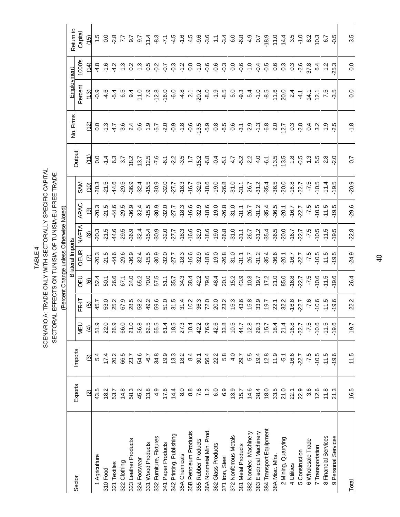TABLE 4

# SCENARIO A: TRADE ONLY WITH SECTORALLY SPECIFIC CAPITAL<br>SECTORAL EFFECTS ON TUNISIA OF TUNISIA-EU FREE TRADE SCENARIO A: TRADE ONLY WITH SECTORALLY SPECIFIC CAPITAL

SECTORAL EFFECTS ON TUNISIA OF TUNISIA-EU FREE TRADE (Percent Change unless Otherwise Noted) (Percent Change unless Otherwise Noted)

| Sector                     | Exports            | Imports       |                |         |                | <b>Bilateral Imports</b> |                               |                    |                    | Output                                                                                                                                                                                                                                                                                                                                                       | No. Firms                                                                  | Employment                      |                               | Return to                                                                                                                                                                                                                                                                                                                                                                                                                                                                                                                                             |
|----------------------------|--------------------|---------------|----------------|---------|----------------|--------------------------|-------------------------------|--------------------|--------------------|--------------------------------------------------------------------------------------------------------------------------------------------------------------------------------------------------------------------------------------------------------------------------------------------------------------------------------------------------------------|----------------------------------------------------------------------------|---------------------------------|-------------------------------|-------------------------------------------------------------------------------------------------------------------------------------------------------------------------------------------------------------------------------------------------------------------------------------------------------------------------------------------------------------------------------------------------------------------------------------------------------------------------------------------------------------------------------------------------------|
|                            |                    |               | <b>NED</b>     | FR-IT   | 핑              | <b>OEUR</b>              | <b>ALLY</b>                   | APAC               | ସ<br>ଜଧ            |                                                                                                                                                                                                                                                                                                                                                              |                                                                            | Percent                         | 1000                          | Capital                                                                                                                                                                                                                                                                                                                                                                                                                                                                                                                                               |
|                            | $\widehat{\omega}$ | 3             | $\overline{4}$ | 6       | (6)            | g                        | $\circledR$                   | 9                  | $\frac{1}{2}$      | $\overline{11}$                                                                                                                                                                                                                                                                                                                                              | (12)                                                                       | (13)                            | (14)                          | (15)                                                                                                                                                                                                                                                                                                                                                                                                                                                                                                                                                  |
| 1 Agriculture              | 43.5               | 5.4           | 51.9           | 45.7    | 52.4           | $-20.3$                  | $-20.3$                       | $-20.3$            | 20.3               |                                                                                                                                                                                                                                                                                                                                                              |                                                                            |                                 | $\frac{8}{1}$                 |                                                                                                                                                                                                                                                                                                                                                                                                                                                                                                                                                       |
| 310 Food                   | 18.2               | 17.4          | 22.0           | 53.0    | 50.1           | $-21.5$                  | $-21.5$                       | $-21.5$            | $-21.5$            | 0.4                                                                                                                                                                                                                                                                                                                                                          |                                                                            |                                 | $\frac{0}{7}$                 |                                                                                                                                                                                                                                                                                                                                                                                                                                                                                                                                                       |
| 321 Textiles               | 53.7               | 20.2          | 26.9           | 25.2    | 26.6           | 44.6                     | 44.6                          | $-44.6$            | 44.6               | 6.3                                                                                                                                                                                                                                                                                                                                                          | 0 1 4<br>0 1 5 9                                                           |                                 | 4.2                           | 7 0 0 0 7<br>1 0 0 0 7<br>1 0 0 7                                                                                                                                                                                                                                                                                                                                                                                                                                                                                                                     |
| 322 Clothing               | 14.8               | 66.5          | 66.0           | 67.9    | 67.1           | $-29.6$                  | $-29.5$                       | $-29.5$            | $-29.5$            | 57                                                                                                                                                                                                                                                                                                                                                           |                                                                            |                                 | $\frac{3}{2}$                 |                                                                                                                                                                                                                                                                                                                                                                                                                                                                                                                                                       |
| 323 Leather Products       | 58.3               | 23.7          | 21.0           | 28.5    | 24.0           | $-36.9$                  | $-36.9$                       | $-36.9$            | $-36.9$            | 18.2                                                                                                                                                                                                                                                                                                                                                         |                                                                            | 6. 9.<br>6. 9.                  | 0.2                           | 9.7<br>9.7                                                                                                                                                                                                                                                                                                                                                                                                                                                                                                                                            |
| 324 Footwear               | 45.2               | 54.6          | 56.8           | 58.2    | 65.2           | $-32.4$                  | $-32.4$                       | $-32.4$<br>$-15.5$ | $-32.4$<br>$15.5$  |                                                                                                                                                                                                                                                                                                                                                              |                                                                            | $\frac{1}{1}$                   | $\ddot{ }$                    |                                                                                                                                                                                                                                                                                                                                                                                                                                                                                                                                                       |
| 331 Wood Products          | 13.8               | 59            | 62.5           | 49.2    | 70.0           | $-15.5$                  |                               |                    |                    |                                                                                                                                                                                                                                                                                                                                                              |                                                                            | $\tilde{z}$                     |                               |                                                                                                                                                                                                                                                                                                                                                                                                                                                                                                                                                       |
| Furniture, Fixtures<br>332 | 4.9                | 34.8          | 65.5           | 59.6    | 57.5           | $-30.9$                  | $-15.4$<br>$-30.9$<br>$-27.7$ |                    | 212<br>935<br>937  | $\begin{array}{cccccccccc} \mbox{55} & \mbox{56} & \mbox{57} & \mbox{58} & \mbox{59} & \mbox{57} \\ \mbox{57} & \mbox{58} & \mbox{57} & \mbox{57} & \mbox{58} & \mbox{57} & \mbox{58} \\ \mbox{58} & \mbox{57} & \mbox{57} & \mbox{57} & \mbox{58} & \mbox{57} & \mbox{58} & \mbox{58} & \mbox{58} \\ \mbox{58} & \mbox{57} & \mbox{58} & \mbox{57} & \mbox$ |                                                                            | $-12.8$<br>$-16.0$              | 5<br>0.2                      | $\frac{1}{4}$ $\frac{1}{8}$ $\frac{1}{1}$                                                                                                                                                                                                                                                                                                                                                                                                                                                                                                             |
| 341 Paper Products         | 17.6               | 19.9          | 61.4           | 51.0    | 51.1           | $-32.0$                  |                               |                    |                    |                                                                                                                                                                                                                                                                                                                                                              |                                                                            |                                 | -p.7                          |                                                                                                                                                                                                                                                                                                                                                                                                                                                                                                                                                       |
| 342 Printing, Publishing   | 14.4               | 13.3          | 18.5           | 31.5    | 35.7           | $-27.7$                  |                               |                    |                    |                                                                                                                                                                                                                                                                                                                                                              | ခို                                                                        |                                 | ဒို                           |                                                                                                                                                                                                                                                                                                                                                                                                                                                                                                                                                       |
| 35A Chemicals              | 8.0                | 18.2          | 27.3           | 31.4    | 34.3           | $-18.3$                  | $-18.3$                       | $-18.3$            | $-18.3$<br>$-16.7$ |                                                                                                                                                                                                                                                                                                                                                              | $\frac{8}{1}$                                                              | ن ه<br>ه په د                   | $-1.2$                        |                                                                                                                                                                                                                                                                                                                                                                                                                                                                                                                                                       |
| 35B Petroleum Products     | 8.8                | 8.4           | 10.4           | 10.2    | 38.4           | $-16.6$                  | $-16.6$                       | $-16.6$            |                    |                                                                                                                                                                                                                                                                                                                                                              | $-0.6$                                                                     |                                 |                               |                                                                                                                                                                                                                                                                                                                                                                                                                                                                                                                                                       |
| 355 Rubber Products        | 7.6                | 30.1          | 42.2           | 36.3    | 42.2           | $-32.9$                  |                               |                    |                    |                                                                                                                                                                                                                                                                                                                                                              | $-13.5$                                                                    |                                 | 9990                          | $\begin{array}{cccccccccc} A & \stackrel{\perp}{\sim} & A & \stackrel{\sim}{\sim} & \stackrel{\sim}{\sim} & \stackrel{\sim}{\sim} & \stackrel{\sim}{\sim} & \stackrel{\sim}{\sim} & \stackrel{\sim}{\sim} & \stackrel{\sim}{\sim} & \stackrel{\sim}{\sim} & \stackrel{\sim}{\sim} & \stackrel{\sim}{\sim} & \stackrel{\sim}{\sim} & \stackrel{\sim}{\sim} & \stackrel{\sim}{\sim} & \stackrel{\sim}{\sim} & \stackrel{\sim}{\sim} & \stackrel{\sim}{\sim} & \stackrel{\sim}{\sim} & \stackrel{\sim}{\sim} & \stackrel{\sim}{\sim} & \stackrel{\sim}{$ |
| 36A Nonmetal Min. Prod     | $\frac{1}{2}$      | 56.4          | 76.9           | 72.0    | 79.6           | $-18.6$                  |                               |                    |                    |                                                                                                                                                                                                                                                                                                                                                              |                                                                            |                                 |                               |                                                                                                                                                                                                                                                                                                                                                                                                                                                                                                                                                       |
| 362 Glass Products         | 6.0                | 22.2          | 42.6           | 20.0    | 48.4           |                          |                               |                    |                    |                                                                                                                                                                                                                                                                                                                                                              |                                                                            |                                 | $-0.6$                        |                                                                                                                                                                                                                                                                                                                                                                                                                                                                                                                                                       |
| 371 Iron, Steel            | 6.9                | 5.8           | 33.8           | 23.2    |                | $-26.8$                  |                               |                    |                    |                                                                                                                                                                                                                                                                                                                                                              |                                                                            |                                 | $-0.3$                        |                                                                                                                                                                                                                                                                                                                                                                                                                                                                                                                                                       |
| 372 Nonferrous Metals      | 13.9               | 4.0           | 10.5           | 15.3    | 20.1<br>15.2   | $-31.0$                  |                               |                    |                    |                                                                                                                                                                                                                                                                                                                                                              |                                                                            |                                 |                               |                                                                                                                                                                                                                                                                                                                                                                                                                                                                                                                                                       |
| 381 Metal Products         | 15.7               | 29.7          | 44.7           | 43.6    | 43.9           |                          |                               |                    |                    |                                                                                                                                                                                                                                                                                                                                                              | <b>b</b> a m a c c c b u a<br>c a m a c c c b u a<br>c a m a c c c c c c c |                                 | 999999                        |                                                                                                                                                                                                                                                                                                                                                                                                                                                                                                                                                       |
| 382 Nonelec. Machinery     | 14.6               | 5.5           | 12.8           | 15.8    | $10.3$<br>19.7 |                          |                               |                    |                    |                                                                                                                                                                                                                                                                                                                                                              |                                                                            |                                 |                               |                                                                                                                                                                                                                                                                                                                                                                                                                                                                                                                                                       |
| 383 Electrical Machinery   | 38.4               | 19.4          | 29.3           | 33.9    |                |                          |                               |                    |                    |                                                                                                                                                                                                                                                                                                                                                              |                                                                            |                                 |                               |                                                                                                                                                                                                                                                                                                                                                                                                                                                                                                                                                       |
| 384 Transport Equipment    | 18.0               | 12.8          | 15.7           | 19.7    | 17.2           |                          |                               |                    |                    |                                                                                                                                                                                                                                                                                                                                                              |                                                                            |                                 |                               |                                                                                                                                                                                                                                                                                                                                                                                                                                                                                                                                                       |
| 38A Misc. Mfrs.            | 33.5               | 11.9          | 18.4           | 22.1    | 21.0           |                          |                               |                    | $-36.5$            | 13.5                                                                                                                                                                                                                                                                                                                                                         | $\frac{5}{2}$                                                              | 11.6                            |                               |                                                                                                                                                                                                                                                                                                                                                                                                                                                                                                                                                       |
| 2 Mining, Quarrying        | 21.0               | $\frac{1}{2}$ | 21.4           | 32.2    | 85.0           | $-20.1$                  | $-20.0$                       | $-20.1$            | $-20.0$            | 13.5                                                                                                                                                                                                                                                                                                                                                         | 12.7                                                                       | 20 <sub>c</sub>                 |                               |                                                                                                                                                                                                                                                                                                                                                                                                                                                                                                                                                       |
| 4 Utilities                | 22.1               | $-16.6$       | $-16.8$        | $-16.8$ | 16.8           | $-16.7$                  |                               |                    |                    | $\frac{8}{1}$                                                                                                                                                                                                                                                                                                                                                | 0.3<br>0.2.8                                                               | $\frac{5}{2}$                   | 8<br>8 8 9 9 9 9<br>8 9 9 9 9 |                                                                                                                                                                                                                                                                                                                                                                                                                                                                                                                                                       |
| 5 Construction             | 22.9               | $-22.7$       | $-22.7$        | $-22.7$ | 22.7           | $-22.7$                  | $-22.7$                       | $-22.7$            | $-22.7$            | 9.5                                                                                                                                                                                                                                                                                                                                                          |                                                                            |                                 |                               |                                                                                                                                                                                                                                                                                                                                                                                                                                                                                                                                                       |
| 6 Wholesale Trade          | 3.6                | $-7.5$        | $-7.5$         | $-7.6$  | -7.5           | -7.5                     | -7.5                          | -7.5               | $-7.5$             | $\frac{3}{2}$                                                                                                                                                                                                                                                                                                                                                | $\overline{a}$                                                             | $\frac{1}{4}$ $\frac{7}{4}$     |                               | $545$<br>$645$<br>$650$<br>$655$<br>$65$<br>$65$<br>$65$                                                                                                                                                                                                                                                                                                                                                                                                                                                                                              |
| 7 Transportation           | 12.6               | $-10.5$       | $-10.6$        | $-10.6$ | $-10.6$        | $-10.5$                  | $-10.5$                       | $-10.5$            | $-10.5$            | 5.5                                                                                                                                                                                                                                                                                                                                                          | 33                                                                         | 12.1                            |                               |                                                                                                                                                                                                                                                                                                                                                                                                                                                                                                                                                       |
| 8 Financial Services       | 11.8               | $-11.5$       | $-11.5$        | $-11.5$ | $-11.5$        | $-11.5$                  | $-11.5$                       | $-11.5$            | $-11.4$            | $\frac{8}{2}$                                                                                                                                                                                                                                                                                                                                                | - 25<br>- 51                                                               | 5<br>5<br>7<br>5<br>7<br>5<br>9 | 6 4 9 9<br>6 4 9 9            |                                                                                                                                                                                                                                                                                                                                                                                                                                                                                                                                                       |
| 9 Personal Services        | 21.3               | $-19.6$       | $-19.6$        | $-19.6$ | ć.             | <u>بہ</u>                | <u>بہ</u>                     | ć.                 | 19.5               | ں<br>ج                                                                                                                                                                                                                                                                                                                                                       |                                                                            |                                 |                               |                                                                                                                                                                                                                                                                                                                                                                                                                                                                                                                                                       |
| Total                      | 16.5               | 11.5          | 19.7           | 22.2    | 26.4           | $-24.9$                  | $-22.8$                       | $-29.6$            | $-20.9$            | $\overline{0.7}$                                                                                                                                                                                                                                                                                                                                             | $-1.8$                                                                     | $\frac{0}{0}$                   | $\rm ^{0}$                    | 3.5                                                                                                                                                                                                                                                                                                                                                                                                                                                                                                                                                   |

40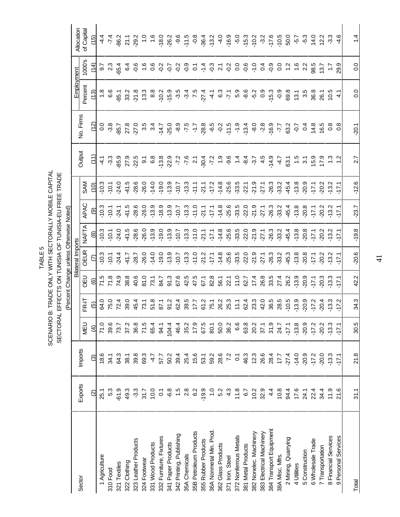SCENARIO B: TRADE ONLY WITH SECTORALLY MOBILE CAPITAL SCENARIO B: TRADE ONLY WITH SECTORALLY MOBILE CAPITAL SECTORAL EFFECTS ON TUNISIA OF TUNISIA-EU FREE TRADE SECTORAL EFFECTS ON TUNISIA OF TUNISIA-EU FREE TRADE (Percent Change unless Otherwise Noted) (Percent Change unless Otherwise Noted)

TABLE 5

of Capital Sector Exports Imports KEU FR-IT OEU Bilateral Imports ANG SAM Output No. Firms Employment Allocation<br>Rector Exports Kepital MEU FR-IT OEU OEUR NAFTA APAC SAM Output No. Firms Percent 1000's of Capital Allocation  $4\overline{4}$  $-18.0$ -9.6  $14.0$ 86.2 29.2  $1.6$ 26.2  $-11.5$  $-0.8$  $-36.4$  $13.2$ 16.9  $-5.0$  $-15.3$  $10.2$ 17.6  $10.5$ 50.0 53  $3.3$  $-4.6$  $1.4$  $-7.4$  $21.1$  $\ddot{ }$ .  $-4.0$  $3.2$  $12.2$  $(15)$ (2) (3) (4) (5) (6) (7) (8) (9) (10) (11) (12) (13) (14) (15) पप — 2.6 — 8.1 — 0.0 — 1.7 — 8.01- 8.01- 8.01- 8.01- 9.01- 9.02 — 0.04 — 0.04 — 10.3 — 10.3 — 10.04 — 10.0 — 1 310 Food 5.3 - 3.3 - 3.3 - 3.3 - 3.4.1 - 34.1 - 34.1 - 34.1 - 34.1 - 34.1 - 34.1 - 34.1 - 34.1 - 34.1 - 34.1 - $321$ Textiles -61.9 -61.3 | 72.4 72.4 -24.4 -24.0 -24.0 -24.0 -24.0 -85.9 | -85.7 | -85.1 -85.4 -85.4 -85.4 | -85.4 | -86.2 | -86.2 | -85.4 | -85.4 | -85.4 | -85.4 | -85.4 | -85.4 | -85.4 | -85.4 | -85.4 | -85.4 | -85.4 |  $323$  Leather Products -3.3 -3.3 -3.8 45.4 45.4 45.4 45.4 -28.6 -28.6 -28.6 -28.6 -22.5 -27.0 -21.8 -21.8 -29.2 324 Footwear | 31.7 | 31.7 | 33.3 | 73.1 | 73.0 | -26.0 | -26.0 | -26.0 | -26.0 | -26.0 | -26.0 | -26.0 | -26 331 Wood Droducts 10.0 -4.7 6.8 -4.7 -4.0 -4.7 -4.7 -4.9 -4.7 -4.9 -4.7 -4.7 -4.7 -4.7 -4.7 -4.7 -4. 0.32 Furniture, Fixture, Fixture, Fixtures 19.03, Fixtures 19.0, Fixtures 19.0 -19.0 -19.0 -10.0 -10.0 -10.0 -1<br>0.02 -10.2 -10.2 -14.7 -14.7 -14.7 -10.05, Fixtures 19.05, Fixtures 19.00, Fixtures 19.00, Fixtures 19.00, Fix 341 Paper Products -6.8 50.2 104.4 91.2 91.3 -13.9 -13.9 -13.9 -13.9 -22.9 -25.0 -15.9 -0.7 -26.2 342 Printing, Publishing 1.5 39.4 46.4 62.4 67.6 -10.7 -10.7 -10.7 -10.7 -7.2 -8.9 -3.5 -0.2 -9.6 35A Chemicals 2.8 | 25.4 | 35.2 | 39.5 | 42.5 | -13.3 | -13.3 | -13.3 | -7.6 | -7.5 | -3.4 -0.9 | -11.5 | -11.5 35B Petroleum Products 16.2 | 6.2 | 15.6 | 17.7 | 17.9 | 17.9 | 17.9 | 17.9 | 17.9 | 17.9 | 2.1 | 7.5 | 7.5 | 0.1 355 Rubber Products -19.9 53.1 67.5 53.1 67.2 51.2 521.1 -21.1 -21.1 -21.1 -21.1 -21.1 -20.4 -27.4 -27.4 -36.4 36A Nonmetal Min. Prod. 1.0 59.2 80.1 75.1 82.8 -17.1 -17.1 -17.1 -17.2 -7.2 -6.5 -4.1 -0.3 -13.2 362 Glass Products 5.2 28.6 50.0 26.2 56.1 -14.8 -14.8 -14.8 -14.8 1.9 -0.2 6.3 2.1 -4.0 371 Iron, Steel 4.3 | 36.2 | 25.3 | 25.3 | 25.6 | -25.6 | -25.6 | -25.6 | -25.6 | -36.6 | -36.9 | -16.9 | -11.5 372 Nonferrous Metals 11.8 | 11.8 | 11.1 | 11.1 | 11.0 | -33.5 | -33.5 | -33.5 | -33.5 | -33.5 | -4 | 1.9 | -5.0  $381$  Metal Products 6.7 (63.8 63.8 63.8 62.4 62.7 -22.0 -22.0 -22.0 -22.1 -8.4 -8.4 -8.4 -8.6 -0.6 -15.3 382 Nonelec. Machinery 10.2 12.3 20.2 23.3 17.4 -21.9 -21.9 -21.9 -21.9 -3.7 -8.0 -5.2 -1.0 -10.2 383 Electrical Machinery 23.2 45 -4.5 -27.1 -27.1 -27.1 -27.1 -27.1 -27.1 -27.1 -27.1 -27.1 -27.1 -27.1 -27.1 -27.1 -27.1 -27.1 -27.1 -27.1 -27.1 -27.1 -27.1 -27.1 -27.1 -27.1 -27.1 -27.1 -27.1 -27.2 -2.2 -2.2 -2.3 -2.2 -2 9.25 Transport Equipment Equipment Califor - 28.4 32.5 -28.5 -26.3 -26.3 -26.3 -14.9 -14.9 -14.9 -19.9 -19.9 -1 38A Misc. Mfrs. 10.8 17.7 24.7 28.5 27.4 -33.2 -33.2 -33.2 -33.2 -4.7 -7.7 -0.9 0.0 -10.5 2 Mining 2 Mining, Quarrying 194.4 -27.4 -27.4 -27.4 -27.4 -27.4 -27.4 -47.4 -47.4 -47.4 -47.4 -47.4 -47.4 -47<br>0.05 - 21.4 - 21.2 - 21.2 - 21.4 -45.4 -45.4 -45.4 -45.4 -45.4 -45.4 - 47.4 - 47.4 - 47.4 - 47.4 - 47.4 - 47.4 -5.7 4 Utilities 17.6 -14.0 -13.9 -13.9 -13.8 -13.8 -13.8 -13.8 -13.8 -13.8 -13.8 -13.8 -13.8 -13.8 -13.1 1.5 -1.6 -5 Construction | 24.1 -20.9 -20.9 -20.9 -20.9 -20.9 -20.9 -20.9 -20.9 -20.9 -20.9 -20.9 -20.9 -20.9 -20.9 -20.9 -5.3 2.4.1 -5.3 -5.3 2.4.1 -5.3 -5.3 -5.4.1 -5.3 -5.4.1 -5.3 -5.4.1 -5.3 -5.4.1 -5.3 -5.4.1 -5.3 -5.4.1 -5.3 6 Wholesale Trade 22.4 -17.2 -17.2 -17.2 -17.1 -17.1 -17.1 -17.1 -17.1 15.9 14.8 36.8 98.5 14.0 7 Transportation 34.4 -20.2 -20.2 -20.2 -20.2 -20.2 -20.2 -20.3 -20.3 -20.2 -20.3 -20.2 -20.2 -20.2 -20.2 -20.<br>| 34.4 -20.2 -20.2 -20.3 -20.3 -20.3 -20.3 -20.3 -20.3 -20.3 -20.3 -20.3 -20.3 -20.3 -20.3 -20.3 -20.3 -20.3 -8 Financial Services 11.9 11.9 -13.3 -13.3 -13.3 -13.2 -13.2 -13.2 -13.2 -13.2 -13.2 -13.2 -13.2 -13.3 10.5 -17 -17 -13.3 9 Personal Services | 21.6 | 21.6 | 21.6 | -17.1 -17.1 -17.1 -17.1 -17.1 -17.1 -17.1 -17.1 -17.1 -17.1 -17.1 -1 Total 31.1 31.1 21.8 30.5 34.3 42.2 -19.8 -23.7 -23.7 -23.7 -22.6 - 2.7 -2.0.1 0.0 1 0.0 1 14 1:2 | 4:9 | 8:2 | 8:2 | 9:2 | 9:2 | 9:4 | 9:4 | 9:4 | 9:4 | 9:3 | 9:3 | 9:3 | 9:3 | 9:3 | 9:3 | 9:4 | 2:2 | 9:4 1000's -65.4 9.<br>Ö  $1.6$  $0.6$  $\overline{0}$ :  $0.9$  $0.0$  $\overline{6}$  $-0.9$  $0.0$  $1.2$  $\frac{6}{1}$ 98.5  $0.0$  $(14)$  $2.\overline{3}$  $\overline{6}$ çò  $-0.2$  $-1.4$  $0.3$  $\overline{0}$  $-1.0$  $\overline{a}$  $2.2$  $13.7$  $\ddot{ }$ :  $2.9.9$  $\frac{2}{9}$  $\overline{c}$  $\overline{21}$ Employment Percent  $(13)$  $\frac{8}{1}$ 6.6 85.1 33.2  $21.8$  $13.3$  $-10.2$  $-15.9$  $-3.5$ 7.5  $27.4$  $6.3$ 5.9 -8.6 -5.2  $0.9$  $-15.3$  $-0.9$ 69.8 3.5 36.8  $\overline{0}$  $\frac{8}{8}$  $34$  $-4.1$  $\ddot{z}$  $\overline{13.1}$ 26.1  $10.5$  $\frac{1}{4}$ **Vo. Firms**  $(12)$  $\rm ^{0}$  $-3.8$ 85.7 27.8 27.0  $-14.7$ -25.0  $-8.9$  $-7.5$  $\overline{1}$  $28.8$ Ģэ.  $-0.2$  $-11.5$  $-1.9$  $-13.4$  $2.8$  $-16.9$ 63.2 3.5  $3.4$  $-8.0$ -7.7  $\overline{0.4}$  $14.8$ 16.5  $0.8$  $\frac{8}{2}$  $-20.1$  $-0.7$ Output  $(11)$ 85.9 27.9  $22.5$  $-22.9$  $-14.9$ 15.9  $17.9$ -3.3 6.8  $13.8$  $-7.2$  $-7.6$  $-30.4$  $-7.2$  $\ddot{ }$ .9 -9.6  $1.4$  $\frac{8}{4}$  $-3.7$  $4.5$ 63.1  $1.5$  $\overline{3.1}$  $\ddot{.}$  $\frac{2}{3}$  $2.7$  $\frac{1}{4}$  $-4.7$  $\overline{5}$  $\overline{21}$  $-12.6$ **SAM**  $-10.3$  $-10.1$  $24.0$ 41.5 28.6 26.0 19.0  $-13.9$  $-10.7$  $13.3$  $21.1$  $-17.2$  $-14.8$ 25.6 33.5  $21.9$ 27.1  $-26.3$ 33.2 45.4  $-13.8$  $20.9$ 202  $13.2$  $-14.0$  $\frac{1}{11}$  $22.1$  $-171$  $-17.1$  $\widetilde{O}$ APAC  $-10.3$  $-10.1$  $.24.1$ 41.5 28.6 26.0  $-13.9$  $-18.9$  $-13.9$  $-10.7$  $-13.3$  $-11.0$  $21.1$  $-17.1$  $-14.8$  $-25.6$  $-33.5$  $22.0$  $21.9$ 27.1 -26.3  $-33.2$  $-13.8$  $-20.8$ 202  $-13.2$  $-23.7$ 45.4  $-17.1$  $-17.1$ ම **NAFTA**  $-10.3$  $-24.0$ 41.5 28.6 -26.0  $-13.9$  $-19.0$  $-13.9$  $13.3$  $-25.6$  $-33.5$  $22.0$  $-21.9$  $-26.3$  $-33.2$  $-13.8$  $-20.8$ 202  $-13.2$  $-19.8$  $-10.7$  $-11.0$  $-14.8$ 45.4  $-10.1$  $21.1$  $-17.1$ 27.1  $-17.1$  $-17.1$  $\circledcirc$ **Bilateral Imports OEUR**  $-10.3$  $-19.0$  $-13.9$  $11.0$  $-14.8$  $-25.6$ 33.5  $22.0$  $-21.9$ 45.3  $-13.8$  $-20.6$  $-24.4$  $-41.7$ 28.7 26.0  $-14.0$  $-10.7$  $13.3$  $-21.2$  $-171$ 27.1 26.3  $33.2$  $-20.8$  $-20.2$  $-13.2$  $-10.1$  $-17.1$  $-17.1$ ε OEU 71.5  $71.8$ 38.8 81.0  $91.3$ 67.6 42.5 47.5 82.8 26.8 33.5 74.9 40.6 84.7 56.1  $11.0$  $17.4$ 27.4 26.2 13.9  $20.9$ 20.3  $-13.3$ 42.2  $73.1$ 67,1 22.1 62.7  $-171$  $-17.1$ ම FR-IT 39.5 26.2 25.3 36.5 28.5  $-10.5$ 34.3 64.0 75.0  $72.4$ 39.0 45.4 51.8 87.1  $91.2$ 62.4 61.2 75.1  $11.1$ 62.4 23.3 42.0  $-13.9$  $-20.9$  $-17.2$  $-20.4$  $-13.3$  $73.1$  $-17.2$  $177$  $\widehat{\boldsymbol{\omega}}$ **MEU** 71.0 39.6 37.2 36.8 71.5 65.4  $104.4$ 46.4 35.2 17.9 67.5 50.0 36.2 6.6 63.8 202 37.1  $31.9$  $-13.8$  $-20.9$  $-17.2$ 202 30.5 73.7 94.1 80.1 24.7  $-17.1$  $-13.3$  $-171$ E mports 18.6 39.8 69.3 15.6 28.6 7.2 46.3  $12.3$ 26.6  $20.9$ 64.3 38.1 57.7 50.2 39.4 25.4 53.1 59.2 28.4  $177$  $-27.4$  $-14.0$  $-17.2$ 20.0  $-13.3$ œ  $-4.7$  $\overline{C}$  $34.1$ ල  $-17.1$  $\overline{z}$ Exports  $61.9$ 49.3  $-3.3$  $10.0$  $\overline{0}$ .  $6.8$  $-19.9$  $1.0$  $11.8$  $10.2$ 32.9  $10.8$ 94.4 17.6  $22.4$  $34.4$  $11.9$ 5.3  $31.7$  $1.5$  $2.8$  $6.2$ 52  $4.3$ 6.7  $4.4$ 24.1  $31.1$ 25.1 21.6  $\widehat{\omega}$ 384 Transport Equipment 35B Petroleum Products 36A Nonmetal Min. Prod. 382 Nonelec. Machinery 383 Electrical Machinery 342 Printing, Publishing 372 Nonferrous Metals 332 Furniture, Fixtures 8 Financial Services 9 Personal Services 2 Mining, Quarrying 355 Rubber Products 323 Leather Products 6 Wholesale Trade 341 Paper Products 331 Wood Products 362 Glass Products 381 Metal Products 7 Transportation 5 Construction 38A Misc. Mfrs. 35A Chemicals 1 Agriculture 371 Iron, Steel 324 Footwear 322 Clothing 321 Textiles 4 Utilities 310 Food Sector Total

 $\frac{1}{4}$